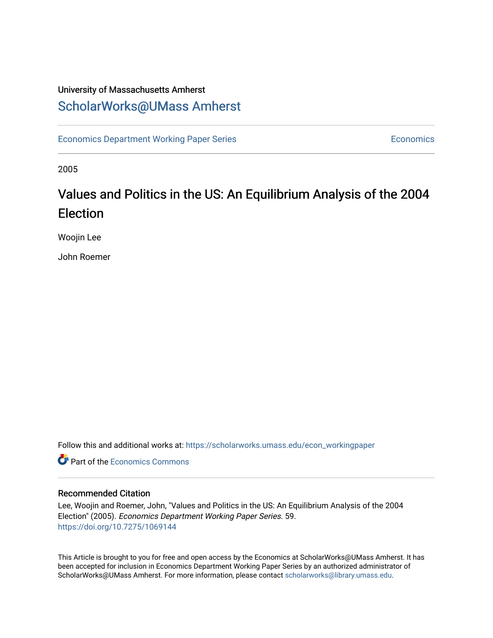## University of Massachusetts Amherst [ScholarWorks@UMass Amherst](https://scholarworks.umass.edu/)

[Economics Department Working Paper Series](https://scholarworks.umass.edu/econ_workingpaper) **Economics** Economics

2005

## Values and Politics in the US: An Equilibrium Analysis of the 2004 Election

Woojin Lee

John Roemer

Follow this and additional works at: [https://scholarworks.umass.edu/econ\\_workingpaper](https://scholarworks.umass.edu/econ_workingpaper?utm_source=scholarworks.umass.edu%2Fecon_workingpaper%2F59&utm_medium=PDF&utm_campaign=PDFCoverPages) 

**C** Part of the [Economics Commons](http://network.bepress.com/hgg/discipline/340?utm_source=scholarworks.umass.edu%2Fecon_workingpaper%2F59&utm_medium=PDF&utm_campaign=PDFCoverPages)

#### Recommended Citation

Lee, Woojin and Roemer, John, "Values and Politics in the US: An Equilibrium Analysis of the 2004 Election" (2005). Economics Department Working Paper Series. 59. <https://doi.org/10.7275/1069144>

This Article is brought to you for free and open access by the Economics at ScholarWorks@UMass Amherst. It has been accepted for inclusion in Economics Department Working Paper Series by an authorized administrator of ScholarWorks@UMass Amherst. For more information, please contact [scholarworks@library.umass.edu.](mailto:scholarworks@library.umass.edu)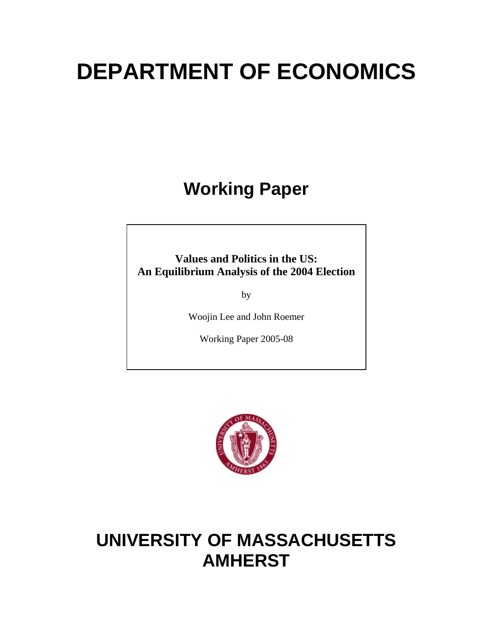# **DEPARTMENT OF ECONOMICS**

**Working Paper** 

**Values and Politics in the US: An Equilibrium Analysis of the 2004 Election**

by

Woojin Lee and John Roemer

Working Paper 2005-08



## **UNIVERSITY OF MASSACHUSETTS AMHERST**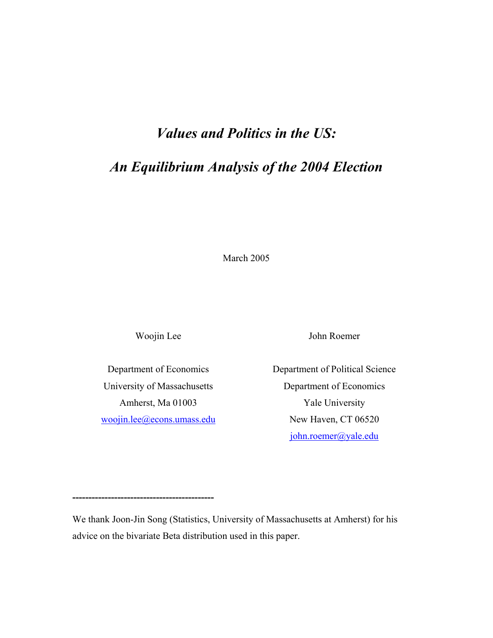## *Values and Politics in the US:*

## *An Equilibrium Analysis of the 2004 Election*

March 2005

Woojin Lee

Department of Economics University of Massachusetts Amherst, Ma 01003 woojin.lee@econs.umass.edu

**--------------------------------------------** 

John Roemer

Department of Political Science Department of Economics Yale University New Haven, CT 06520 john.roemer@yale.edu

We thank Joon-Jin Song (Statistics, University of Massachusetts at Amherst) for his advice on the bivariate Beta distribution used in this paper.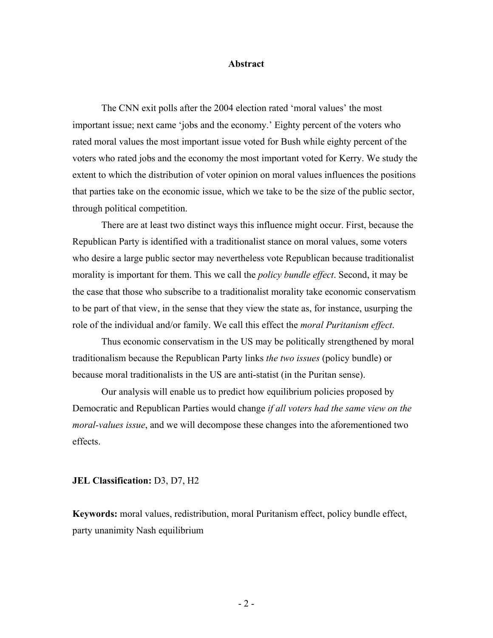#### **Abstract**

The CNN exit polls after the 2004 election rated 'moral values' the most important issue; next came 'jobs and the economy.' Eighty percent of the voters who rated moral values the most important issue voted for Bush while eighty percent of the voters who rated jobs and the economy the most important voted for Kerry. We study the extent to which the distribution of voter opinion on moral values influences the positions that parties take on the economic issue, which we take to be the size of the public sector, through political competition.

There are at least two distinct ways this influence might occur. First, because the Republican Party is identified with a traditionalist stance on moral values, some voters who desire a large public sector may nevertheless vote Republican because traditionalist morality is important for them. This we call the *policy bundle effect*. Second, it may be the case that those who subscribe to a traditionalist morality take economic conservatism to be part of that view, in the sense that they view the state as, for instance, usurping the role of the individual and/or family. We call this effect the *moral Puritanism effect*.

Thus economic conservatism in the US may be politically strengthened by moral traditionalism because the Republican Party links *the two issues* (policy bundle) or because moral traditionalists in the US are anti-statist (in the Puritan sense).

Our analysis will enable us to predict how equilibrium policies proposed by Democratic and Republican Parties would change *if all voters had the same view on the moral-values issue*, and we will decompose these changes into the aforementioned two effects.

#### **JEL Classification:** D3, D7, H2

**Keywords:** moral values, redistribution, moral Puritanism effect, policy bundle effect, party unanimity Nash equilibrium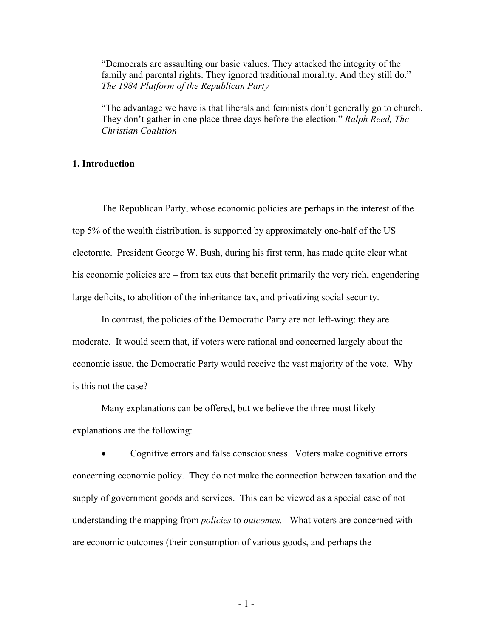"Democrats are assaulting our basic values. They attacked the integrity of the family and parental rights. They ignored traditional morality. And they still do." *The 1984 Platform of the Republican Party* 

"The advantage we have is that liberals and feminists don't generally go to church. They don't gather in one place three days before the election." *Ralph Reed, The Christian Coalition*

#### **1. Introduction**

The Republican Party, whose economic policies are perhaps in the interest of the top 5% of the wealth distribution, is supported by approximately one-half of the US electorate. President George W. Bush, during his first term, has made quite clear what his economic policies are – from tax cuts that benefit primarily the very rich, engendering large deficits, to abolition of the inheritance tax, and privatizing social security.

 In contrast, the policies of the Democratic Party are not left-wing: they are moderate. It would seem that, if voters were rational and concerned largely about the economic issue, the Democratic Party would receive the vast majority of the vote. Why is this not the case?

 Many explanations can be offered, but we believe the three most likely explanations are the following:

• Cognitive errors and false consciousness. Voters make cognitive errors concerning economic policy. They do not make the connection between taxation and the supply of government goods and services. This can be viewed as a special case of not understanding the mapping from *policies* to *outcomes.* What voters are concerned with are economic outcomes (their consumption of various goods, and perhaps the

- 1 -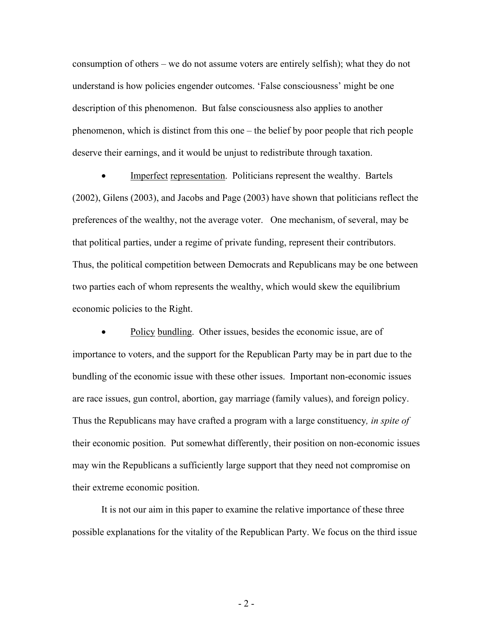consumption of others – we do not assume voters are entirely selfish); what they do not understand is how policies engender outcomes. 'False consciousness' might be one description of this phenomenon. But false consciousness also applies to another phenomenon, which is distinct from this one – the belief by poor people that rich people deserve their earnings, and it would be unjust to redistribute through taxation.

• Imperfect representation. Politicians represent the wealthy. Bartels (2002), Gilens (2003), and Jacobs and Page (2003) have shown that politicians reflect the preferences of the wealthy, not the average voter. One mechanism, of several, may be that political parties, under a regime of private funding, represent their contributors. Thus, the political competition between Democrats and Republicans may be one between two parties each of whom represents the wealthy, which would skew the equilibrium economic policies to the Right.

Policy bundling. Other issues, besides the economic issue, are of importance to voters, and the support for the Republican Party may be in part due to the bundling of the economic issue with these other issues. Important non-economic issues are race issues, gun control, abortion, gay marriage (family values), and foreign policy. Thus the Republicans may have crafted a program with a large constituency*, in spite of* their economic position. Put somewhat differently, their position on non-economic issues may win the Republicans a sufficiently large support that they need not compromise on their extreme economic position.

It is not our aim in this paper to examine the relative importance of these three possible explanations for the vitality of the Republican Party. We focus on the third issue

 $-2-$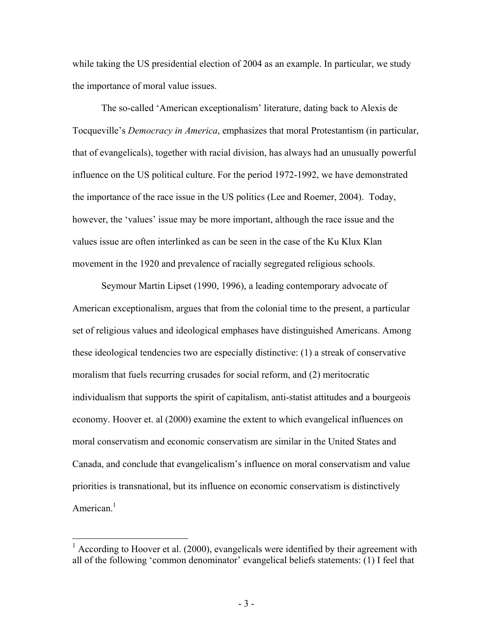while taking the US presidential election of 2004 as an example. In particular, we study the importance of moral value issues.

The so-called 'American exceptionalism' literature, dating back to Alexis de Tocqueville's *Democracy in America*, emphasizes that moral Protestantism (in particular, that of evangelicals), together with racial division, has always had an unusually powerful influence on the US political culture. For the period 1972-1992, we have demonstrated the importance of the race issue in the US politics (Lee and Roemer, 2004). Today, however, the 'values' issue may be more important, although the race issue and the values issue are often interlinked as can be seen in the case of the Ku Klux Klan movement in the 1920 and prevalence of racially segregated religious schools.

Seymour Martin Lipset (1990, 1996), a leading contemporary advocate of American exceptionalism, argues that from the colonial time to the present, a particular set of religious values and ideological emphases have distinguished Americans. Among these ideological tendencies two are especially distinctive: (1) a streak of conservative moralism that fuels recurring crusades for social reform, and (2) meritocratic individualism that supports the spirit of capitalism, anti-statist attitudes and a bourgeois economy. Hoover et. al (2000) examine the extent to which evangelical influences on moral conservatism and economic conservatism are similar in the United States and Canada, and conclude that evangelicalism's influence on moral conservatism and value priorities is transnational, but its influence on economic conservatism is distinctively American.<sup>1</sup>

 $\overline{a}$ 

 $1$  According to Hoover et al. (2000), evangelicals were identified by their agreement with all of the following 'common denominator' evangelical beliefs statements: (1) I feel that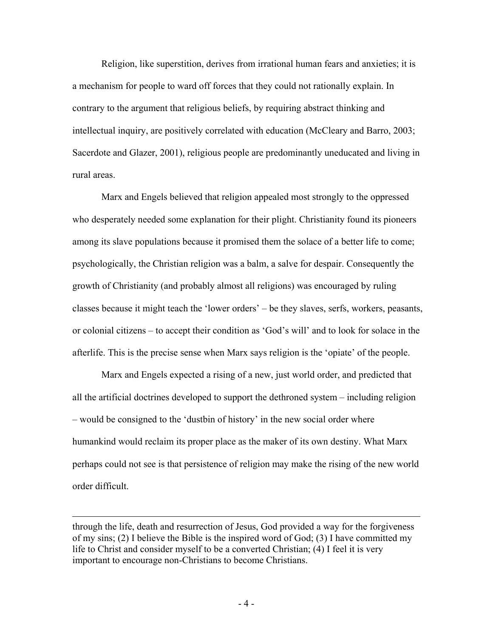Religion, like superstition, derives from irrational human fears and anxieties; it is a mechanism for people to ward off forces that they could not rationally explain. In contrary to the argument that religious beliefs, by requiring abstract thinking and intellectual inquiry, are positively correlated with education (McCleary and Barro, 2003; Sacerdote and Glazer, 2001), religious people are predominantly uneducated and living in rural areas.

Marx and Engels believed that religion appealed most strongly to the oppressed who desperately needed some explanation for their plight. Christianity found its pioneers among its slave populations because it promised them the solace of a better life to come; psychologically, the Christian religion was a balm, a salve for despair. Consequently the growth of Christianity (and probably almost all religions) was encouraged by ruling classes because it might teach the 'lower orders' – be they slaves, serfs, workers, peasants, or colonial citizens – to accept their condition as 'God's will' and to look for solace in the afterlife. This is the precise sense when Marx says religion is the 'opiate' of the people.

Marx and Engels expected a rising of a new, just world order, and predicted that all the artificial doctrines developed to support the dethroned system – including religion – would be consigned to the 'dustbin of history' in the new social order where humankind would reclaim its proper place as the maker of its own destiny. What Marx perhaps could not see is that persistence of religion may make the rising of the new world order difficult.

through the life, death and resurrection of Jesus, God provided a way for the forgiveness of my sins; (2) I believe the Bible is the inspired word of God; (3) I have committed my life to Christ and consider myself to be a converted Christian; (4) I feel it is very important to encourage non-Christians to become Christians.

1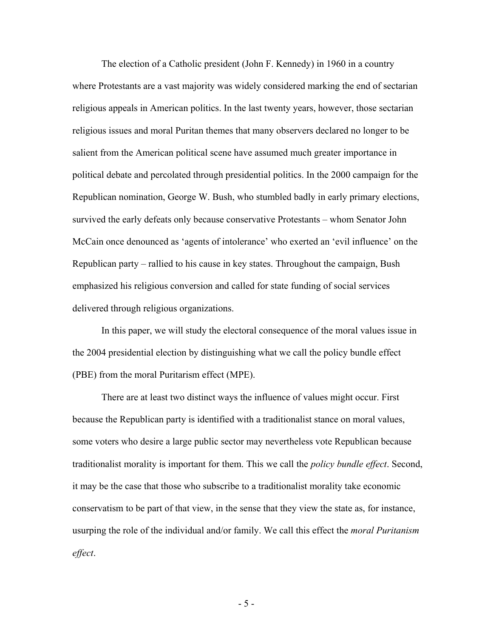The election of a Catholic president (John F. Kennedy) in 1960 in a country where Protestants are a vast majority was widely considered marking the end of sectarian religious appeals in American politics. In the last twenty years, however, those sectarian religious issues and moral Puritan themes that many observers declared no longer to be salient from the American political scene have assumed much greater importance in political debate and percolated through presidential politics. In the 2000 campaign for the Republican nomination, George W. Bush, who stumbled badly in early primary elections, survived the early defeats only because conservative Protestants – whom Senator John McCain once denounced as 'agents of intolerance' who exerted an 'evil influence' on the Republican party – rallied to his cause in key states. Throughout the campaign, Bush emphasized his religious conversion and called for state funding of social services delivered through religious organizations.

In this paper, we will study the electoral consequence of the moral values issue in the 2004 presidential election by distinguishing what we call the policy bundle effect (PBE) from the moral Puritarism effect (MPE).

There are at least two distinct ways the influence of values might occur. First because the Republican party is identified with a traditionalist stance on moral values, some voters who desire a large public sector may nevertheless vote Republican because traditionalist morality is important for them. This we call the *policy bundle effect*. Second, it may be the case that those who subscribe to a traditionalist morality take economic conservatism to be part of that view, in the sense that they view the state as, for instance, usurping the role of the individual and/or family. We call this effect the *moral Puritanism effect*.

- 5 -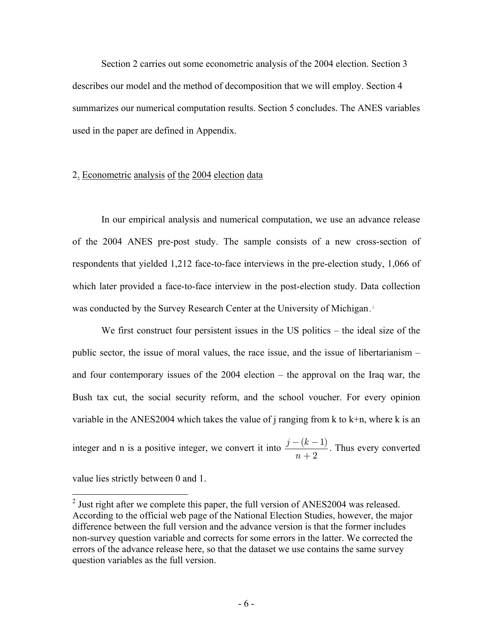Section 2 carries out some econometric analysis of the 2004 election. Section 3 describes our model and the method of decomposition that we will employ. Section 4 summarizes our numerical computation results. Section 5 concludes. The ANES variables used in the paper are defined in Appendix.

#### 2. Econometric analysis of the 2004 election data

In our empirical analysis and numerical computation, we use an advance release of the 2004 ANES pre-post study. The sample consists of a new cross-section of respondents that yielded 1,212 face-to-face interviews in the pre-election study, 1,066 of which later provided a face-to-face interview in the post-election study. Data collection was conducted by the Survey Research Center at the University of Michigan.<sup>2</sup>

We first construct four persistent issues in the US politics – the ideal size of the public sector, the issue of moral values, the race issue, and the issue of libertarianism – and four contemporary issues of the 2004 election – the approval on the Iraq war, the Bush tax cut, the social security reform, and the school voucher. For every opinion variable in the ANES2004 which takes the value of j ranging from  $k$  to  $k+n$ , where k is an integer and n is a positive integer, we convert it into  $\frac{j - (k-1)}{2}$ 2  $j - (k)$ *n*  $\frac{-(k-1)}{n+2}$ . Thus every converted

value lies strictly between 0 and 1.

<sup>&</sup>lt;sup>2</sup> Just right after we complete this paper, the full version of ANES2004 was released. According to the official web page of the National Election Studies, however, the major difference between the full version and the advance version is that the former includes non-survey question variable and corrects for some errors in the latter. We corrected the errors of the advance release here, so that the dataset we use contains the same survey question variables as the full version.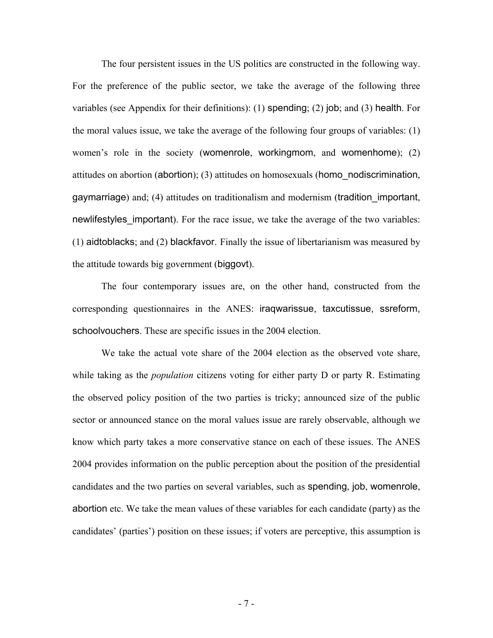The four persistent issues in the US politics are constructed in the following way. For the preference of the public sector, we take the average of the following three variables (see Appendix for their definitions): (1) spending; (2) job; and (3) health. For the moral values issue, we take the average of the following four groups of variables: (1) women's role in the society (womenrole, workingmom, and womenhome); (2) attitudes on abortion (abortion); (3) attitudes on homosexuals (homo\_nodiscrimination, gaymarriage) and; (4) attitudes on traditionalism and modernism (tradition\_important, newlifestyles important). For the race issue, we take the average of the two variables: (1) aidtoblacks; and (2) blackfavor. Finally the issue of libertarianism was measured by the attitude towards big government (biggovt).

The four contemporary issues are, on the other hand, constructed from the corresponding questionnaires in the ANES: iraqwarissue, taxcutissue, ssreform, schoolvouchers. These are specific issues in the 2004 election.

We take the actual vote share of the 2004 election as the observed vote share, while taking as the *population* citizens voting for either party D or party R. Estimating the observed policy position of the two parties is tricky; announced size of the public sector or announced stance on the moral values issue are rarely observable, although we know which party takes a more conservative stance on each of these issues. The ANES 2004 provides information on the public perception about the position of the presidential candidates and the two parties on several variables, such as spending, job, womenrole, abortion etc. We take the mean values of these variables for each candidate (party) as the candidates' (parties') position on these issues; if voters are perceptive, this assumption is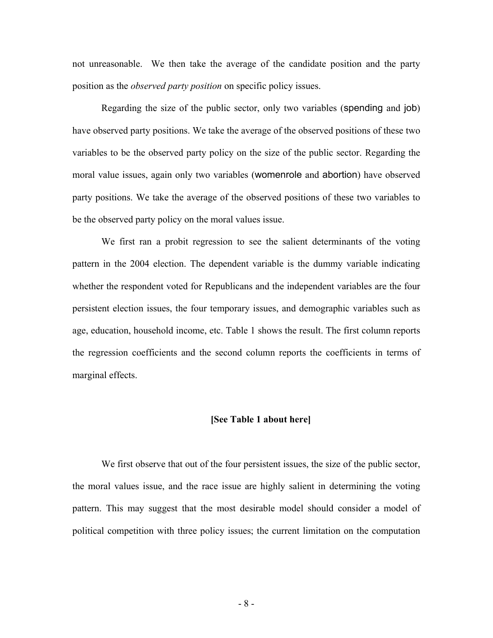not unreasonable. We then take the average of the candidate position and the party position as the *observed party position* on specific policy issues.

Regarding the size of the public sector, only two variables (spending and job) have observed party positions. We take the average of the observed positions of these two variables to be the observed party policy on the size of the public sector. Regarding the moral value issues, again only two variables (womenrole and abortion) have observed party positions. We take the average of the observed positions of these two variables to be the observed party policy on the moral values issue.

We first ran a probit regression to see the salient determinants of the voting pattern in the 2004 election. The dependent variable is the dummy variable indicating whether the respondent voted for Republicans and the independent variables are the four persistent election issues, the four temporary issues, and demographic variables such as age, education, household income, etc. Table 1 shows the result. The first column reports the regression coefficients and the second column reports the coefficients in terms of marginal effects.

#### **[See Table 1 about here]**

We first observe that out of the four persistent issues, the size of the public sector, the moral values issue, and the race issue are highly salient in determining the voting pattern. This may suggest that the most desirable model should consider a model of political competition with three policy issues; the current limitation on the computation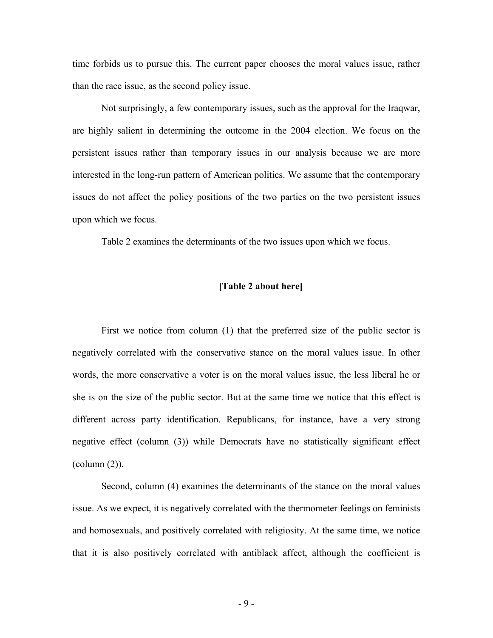time forbids us to pursue this. The current paper chooses the moral values issue, rather than the race issue, as the second policy issue.

Not surprisingly, a few contemporary issues, such as the approval for the Iraqwar, are highly salient in determining the outcome in the 2004 election. We focus on the persistent issues rather than temporary issues in our analysis because we are more interested in the long-run pattern of American politics. We assume that the contemporary issues do not affect the policy positions of the two parties on the two persistent issues upon which we focus.

Table 2 examines the determinants of the two issues upon which we focus.

#### **[Table 2 about here]**

First we notice from column (1) that the preferred size of the public sector is negatively correlated with the conservative stance on the moral values issue. In other words, the more conservative a voter is on the moral values issue, the less liberal he or she is on the size of the public sector. But at the same time we notice that this effect is different across party identification. Republicans, for instance, have a very strong negative effect (column (3)) while Democrats have no statistically significant effect (column (2)).

Second, column (4) examines the determinants of the stance on the moral values issue. As we expect, it is negatively correlated with the thermometer feelings on feminists and homosexuals, and positively correlated with religiosity. At the same time, we notice that it is also positively correlated with antiblack affect, although the coefficient is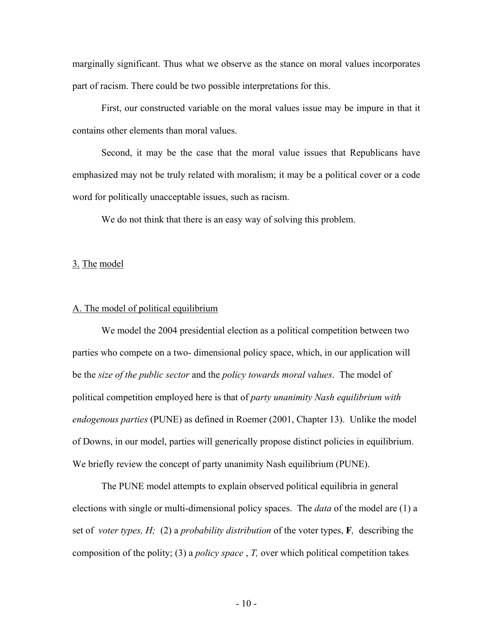marginally significant. Thus what we observe as the stance on moral values incorporates part of racism. There could be two possible interpretations for this.

First, our constructed variable on the moral values issue may be impure in that it contains other elements than moral values.

Second, it may be the case that the moral value issues that Republicans have emphasized may not be truly related with moralism; it may be a political cover or a code word for politically unacceptable issues, such as racism.

We do not think that there is an easy way of solving this problem.

#### 3. The model

#### A. The model of political equilibrium

We model the 2004 presidential election as a political competition between two parties who compete on a two- dimensional policy space, which, in our application will be the *size of the public sector* and the *policy towards moral values*. The model of political competition employed here is that of *party unanimity Nash equilibrium with endogenous parties* (PUNE) as defined in Roemer (2001, Chapter 13). Unlike the model of Downs, in our model, parties will generically propose distinct policies in equilibrium. We briefly review the concept of party unanimity Nash equilibrium (PUNE).

The PUNE model attempts to explain observed political equilibria in general elections with single or multi-dimensional policy spaces. The *data* of the model are (1) a set of *voter types, H;* (2) a *probability distribution* of the voter types, **F***,* describing the composition of the polity; (3) a *policy space* , *T,* over which political competition takes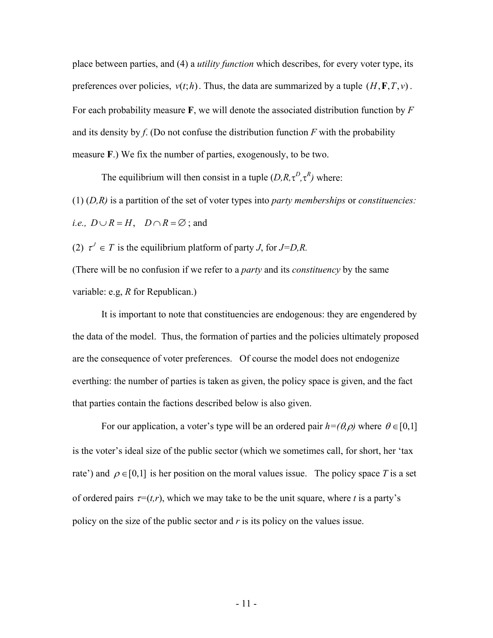place between parties, and (4) a *utility function* which describes, for every voter type, its preferences over policies,  $v(t;h)$ . Thus, the data are summarized by a tuple  $(H, \mathbf{F}, T, v)$ . For each probability measure **F**, we will denote the associated distribution function by *F* and its density by  $f$ . (Do not confuse the distribution function  $F$  with the probability measure **F**.) We fix the number of parties, exogenously, to be two.

The equilibrium will then consist in a tuple  $(D, R, \tau^D, \tau^R)$  where:

(1) (*D,R)* is a partition of the set of voter types into *party memberships* or *constituencies: i.e.,*  $D \cup R = H$ ,  $D \cap R = \emptyset$ ; and

(2)  $\tau^J \in T$  is the equilibrium platform of party *J*, for *J*=*D*,*R*. (There will be no confusion if we refer to a *party* and its *constituency* by the same variable: e.g, *R* for Republican.)

It is important to note that constituencies are endogenous: they are engendered by the data of the model. Thus, the formation of parties and the policies ultimately proposed are the consequence of voter preferences. Of course the model does not endogenize everthing: the number of parties is taken as given, the policy space is given, and the fact that parties contain the factions described below is also given.

For our application, a voter's type will be an ordered pair  $h=(\theta, \rho)$  where  $\theta \in [0,1]$ is the voter's ideal size of the public sector (which we sometimes call, for short, her 'tax rate') and  $\rho \in [0,1]$  is her position on the moral values issue. The policy space *T* is a set of ordered pairs  $\tau=(t,r)$ , which we may take to be the unit square, where *t* is a party's policy on the size of the public sector and *r* is its policy on the values issue.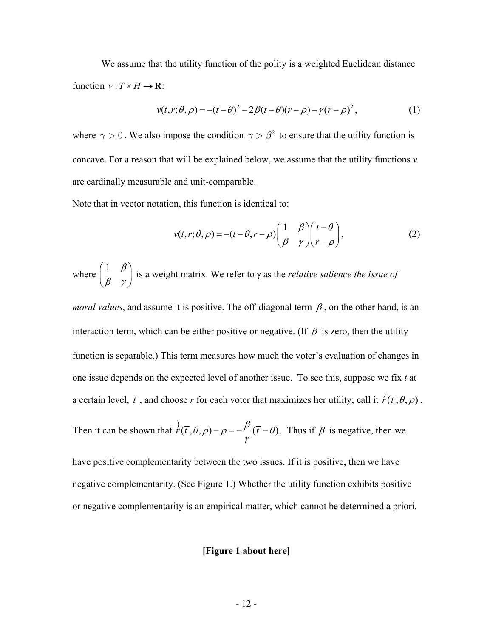We assume that the utility function of the polity is a weighted Euclidean distance function  $v: T \times H \rightarrow \mathbf{R}$ :

$$
v(t, r; \theta, \rho) = -(t - \theta)^2 - 2\beta(t - \theta)(r - \rho) - \gamma(r - \rho)^2,
$$
 (1)

where  $\gamma > 0$ . We also impose the condition  $\gamma > \beta^2$  to ensure that the utility function is concave. For a reason that will be explained below, we assume that the utility functions *v* are cardinally measurable and unit-comparable.

Note that in vector notation, this function is identical to:

$$
v(t,r;\theta,\rho) = -(t-\theta,r-\rho) \begin{pmatrix} 1 & \beta \\ \beta & \gamma \end{pmatrix} \begin{pmatrix} t-\theta \\ r-\rho \end{pmatrix},
$$
 (2)

where 1 β  $\begin{pmatrix} 1 & \beta \\ \beta & \gamma \end{pmatrix}$  is a weight matrix. We refer to  $\gamma$  as the *relative salience the issue of* 

*moral values*, and assume it is positive. The off-diagonal term  $\beta$ , on the other hand, is an interaction term, which can be either positive or negative. (If  $\beta$  is zero, then the utility function is separable.) This term measures how much the voter's evaluation of changes in one issue depends on the expected level of another issue. To see this, suppose we fix *t* at a certain level,  $\bar{t}$ , and choose *r* for each voter that maximizes her utility; call it  $\acute{r}(\bar{t}; \theta, \rho)$ .

Then it can be shown that 
$$
\overrightarrow{r}(\overline{t}, \theta, \rho) - \rho = -\frac{\beta}{\gamma}(\overline{t} - \theta)
$$
. Thus if  $\beta$  is negative, then we

have positive complementarity between the two issues. If it is positive, then we have negative complementarity. (See Figure 1.) Whether the utility function exhibits positive or negative complementarity is an empirical matter, which cannot be determined a priori.

#### **[Figure 1 about here]**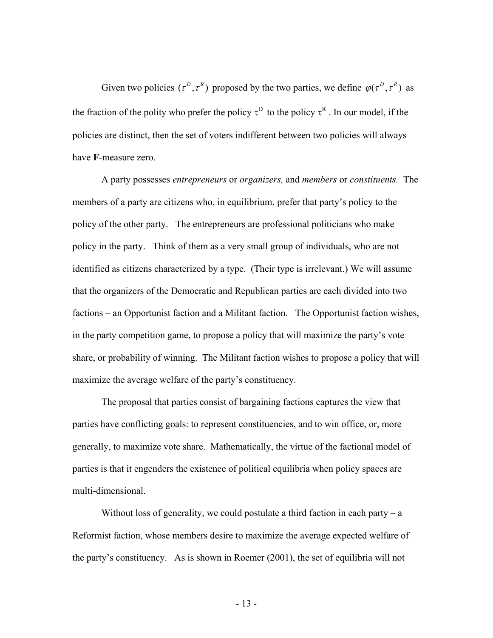Given two policies  $(\tau^D, \tau^R)$  proposed by the two parties, we define  $\varphi(\tau^D, \tau^R)$  as the fraction of the polity who prefer the policy  $\tau^D$  to the policy  $\tau^R$ . In our model, if the policies are distinct, then the set of voters indifferent between two policies will always have **F**-measure zero.

 A party possesses *entrepreneurs* or *organizers,* and *members* or *constituents.* The members of a party are citizens who, in equilibrium, prefer that party's policy to the policy of the other party. The entrepreneurs are professional politicians who make policy in the party. Think of them as a very small group of individuals, who are not identified as citizens characterized by a type. (Their type is irrelevant.) We will assume that the organizers of the Democratic and Republican parties are each divided into two factions – an Opportunist faction and a Militant faction. The Opportunist faction wishes, in the party competition game, to propose a policy that will maximize the party's vote share, or probability of winning. The Militant faction wishes to propose a policy that will maximize the average welfare of the party's constituency.

 The proposal that parties consist of bargaining factions captures the view that parties have conflicting goals: to represent constituencies, and to win office, or, more generally, to maximize vote share. Mathematically, the virtue of the factional model of parties is that it engenders the existence of political equilibria when policy spaces are multi-dimensional.

Without loss of generality, we could postulate a third faction in each party  $-a$ Reformist faction, whose members desire to maximize the average expected welfare of the party's constituency. As is shown in Roemer (2001), the set of equilibria will not

- 13 -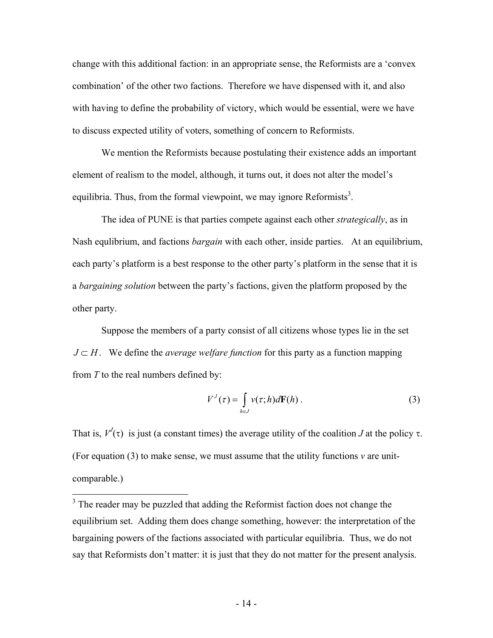change with this additional faction: in an appropriate sense, the Reformists are a 'convex combination' of the other two factions. Therefore we have dispensed with it, and also with having to define the probability of victory, which would be essential, were we have to discuss expected utility of voters, something of concern to Reformists.

 We mention the Reformists because postulating their existence adds an important element of realism to the model, although, it turns out, it does not alter the model's equilibria. Thus, from the formal viewpoint, we may ignore Reformists<sup>3</sup>.

 The idea of PUNE is that parties compete against each other *strategically*, as in Nash equlibrium, and factions *bargain* with each other, inside parties. At an equilibrium, each party's platform is a best response to the other party's platform in the sense that it is a *bargaining solution* between the party's factions, given the platform proposed by the other party.

 Suppose the members of a party consist of all citizens whose types lie in the set *J* ⊂ *H*. We define the *average welfare function* for this party as a function mapping from *T* to the real numbers defined by:

$$
V^{J}(\tau) = \int_{h \in J} \nu(\tau; h) d\mathbf{F}(h).
$$
 (3)

That is,  $V'(\tau)$  is just (a constant times) the average utility of the coalition *J* at the policy  $\tau$ . (For equation  $(3)$  to make sense, we must assume that the utility functions  $\nu$  are unitcomparable.)

<u>.</u>

 $3$  The reader may be puzzled that adding the Reformist faction does not change the equilibrium set. Adding them does change something, however: the interpretation of the bargaining powers of the factions associated with particular equilibria. Thus, we do not say that Reformists don't matter: it is just that they do not matter for the present analysis.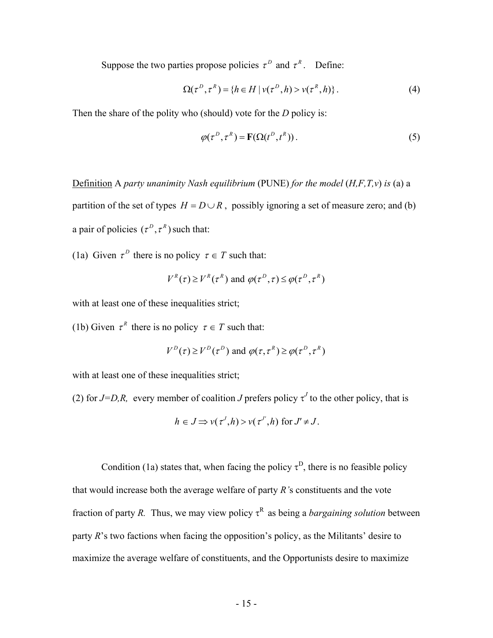Suppose the two parties propose policies  $\tau^D$  and  $\tau^R$ . Define:

$$
\Omega(\tau^{D}, \tau^{R}) = \{ h \in H \mid \nu(\tau^{D}, h) > \nu(\tau^{R}, h) \}.
$$
 (4)

Then the share of the polity who (should) vote for the *D* policy is:

$$
\varphi(\tau^D, \tau^R) = \mathbf{F}(\Omega(t^D, t^R)).
$$
\n(5)

Definition A *party unanimity Nash equilibrium* (PUNE) *for the model* (*H,F,T,v*) *is* (a) a

partition of the set of types  $H = D \cup R$ , possibly ignoring a set of measure zero; and (b) a pair of policies  $(\tau^D, \tau^R)$  such that:

(1a) Given  $\tau^D$  there is no policy  $\tau \in T$  such that:

$$
V^{R}(\tau) \ge V^{R}(\tau^{R}) \text{ and } \varphi(\tau^{D}, \tau) \le \varphi(\tau^{D}, \tau^{R})
$$

with at least one of these inequalities strict;

(1b) Given  $\tau^R$  there is no policy  $\tau \in T$  such that:

$$
V^D(\tau) \ge V^D(\tau^D)
$$
 and  $\varphi(\tau, \tau^R) \ge \varphi(\tau^D, \tau^R)$ 

with at least one of these inequalities strict;

(2) for  $J=D,R$ , every member of coalition *J* prefers policy  $\tau^J$  to the other policy, that is

$$
h \in J \implies v(\tau^J, h) > v(\tau^J, h)
$$
 for  $J' \neq J$ .

Condition (1a) states that, when facing the policy  $\tau^D$ , there is no feasible policy that would increase both the average welfare of party *R'*s constituents and the vote fraction of party *R*. Thus, we may view policy  $\tau^R$  as being a *bargaining solution* between party *R*'s two factions when facing the opposition's policy, as the Militants' desire to maximize the average welfare of constituents, and the Opportunists desire to maximize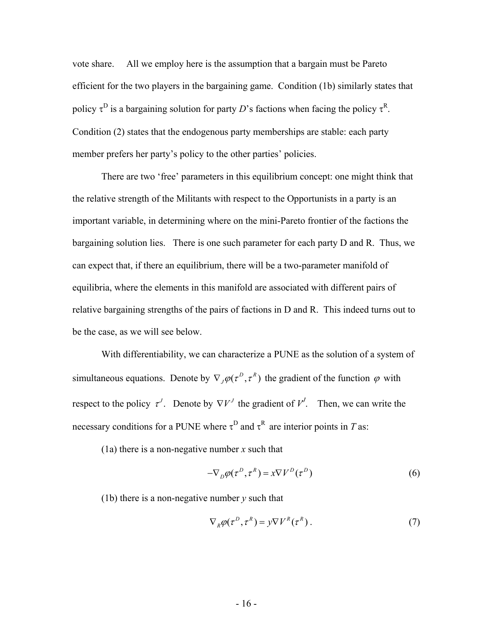vote share. All we employ here is the assumption that a bargain must be Pareto efficient for the two players in the bargaining game. Condition (1b) similarly states that policy  $\tau^D$  is a bargaining solution for party *D*'s factions when facing the policy  $\tau^R$ . Condition (2) states that the endogenous party memberships are stable: each party member prefers her party's policy to the other parties' policies.

 There are two 'free' parameters in this equilibrium concept: one might think that the relative strength of the Militants with respect to the Opportunists in a party is an important variable, in determining where on the mini-Pareto frontier of the factions the bargaining solution lies. There is one such parameter for each party D and R. Thus, we can expect that, if there an equilibrium, there will be a two-parameter manifold of equilibria, where the elements in this manifold are associated with different pairs of relative bargaining strengths of the pairs of factions in D and R. This indeed turns out to be the case, as we will see below.

 With differentiability, we can characterize a PUNE as the solution of a system of simultaneous equations. Denote by  $\nabla_{I}\varphi(\tau^{D}, \tau^{R})$  the gradient of the function  $\varphi$  with respect to the policy  $\tau^{J}$ . Denote by  $\nabla V^{J}$  the gradient of  $V^{J}$ . Then, we can write the necessary conditions for a PUNE where  $\tau^D$  and  $\tau^R$  are interior points in *T* as:

(1a) there is a non-negative number *x* such that

$$
-\nabla_D \varphi(\tau^D, \tau^R) = x \nabla V^D(\tau^D)
$$
 (6)

(1b) there is a non-negative number *y* such that

$$
\nabla_R \varphi(\tau^D, \tau^R) = y \nabla V^R(\tau^R).
$$
 (7)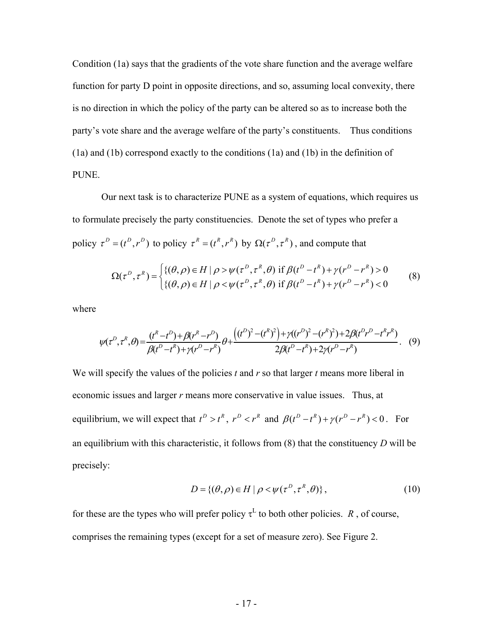Condition (1a) says that the gradients of the vote share function and the average welfare function for party D point in opposite directions, and so, assuming local convexity, there is no direction in which the policy of the party can be altered so as to increase both the party's vote share and the average welfare of the party's constituents. Thus conditions (1a) and (1b) correspond exactly to the conditions (1a) and (1b) in the definition of PUNE.

 Our next task is to characterize PUNE as a system of equations, which requires us to formulate precisely the party constituencies. Denote the set of types who prefer a policy  $\tau^D = (t^D, r^D)$  to policy  $\tau^R = (t^R, r^R)$  by  $\Omega(\tau^D, \tau^R)$ , and compute that

$$
\Omega(\tau^D, \tau^R) = \begin{cases} \{(\theta, \rho) \in H \mid \rho > \psi(\tau^D, \tau^R, \theta) \text{ if } \beta(t^D - t^R) + \gamma(r^D - r^R) > 0 \\ \{(\theta, \rho) \in H \mid \rho < \psi(\tau^D, \tau^R, \theta) \text{ if } \beta(t^D - t^R) + \gamma(r^D - r^R) < 0 \end{cases} \tag{8}
$$

where

$$
\psi(\tau^D, \tau^R, \theta) = \frac{(t^R - t^D) + \beta(r^R - r^D)}{\beta(t^D - t^R) + \gamma(r^D - r^R)} \theta + \frac{((t^D)^2 - (t^R)^2) + \gamma((r^D)^2 - (r^R)^2) + 2\beta(t^D r^D - t^R r^R)}{2\beta(t^D - t^R) + 2\gamma(r^D - r^R)}.
$$
(9)

We will specify the values of the policies *t* and *r* so that larger *t* means more liberal in economic issues and larger *r* means more conservative in value issues. Thus, at equilibrium, we will expect that  $t^D > t^R$ ,  $r^D < r^R$  and  $\beta(t^D - t^R) + \gamma(r^D - r^R) < 0$ . For an equilibrium with this characteristic, it follows from (8) that the constituency *D* will be precisely:

$$
D = \{(\theta, \rho) \in H \mid \rho < \psi(\tau^D, \tau^R, \theta)\},\tag{10}
$$

for these are the types who will prefer policy  $\tau^L$  to both other policies. *R*, of course, comprises the remaining types (except for a set of measure zero). See Figure 2.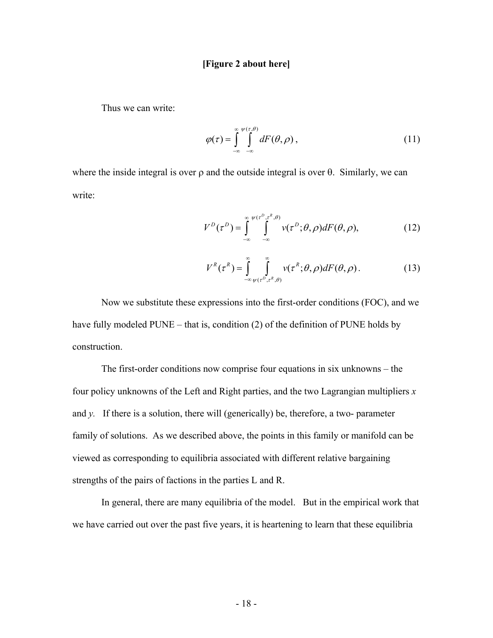#### **[Figure 2 about here]**

Thus we can write:

$$
\varphi(\tau) = \int_{-\infty}^{\infty} \int_{-\infty}^{\psi(\tau,\theta)} dF(\theta,\rho), \qquad (11)
$$

where the inside integral is over  $\rho$  and the outside integral is over  $\theta$ . Similarly, we can write:

$$
V^{D}(\tau^{D}) = \int_{-\infty}^{\infty} \int_{-\infty}^{\psi(\tau^{D}, \tau^{R}, \theta)} \nu(\tau^{D}; \theta, \rho) dF(\theta, \rho), \qquad (12)
$$

$$
V^{R}(\tau^{R}) = \int_{-\infty}^{\infty} \int_{\psi(\tau^{D}, \tau^{R}, \theta)}^{\infty} \nu(\tau^{R}; \theta, \rho) dF(\theta, \rho).
$$
 (13)

 Now we substitute these expressions into the first-order conditions (FOC), and we have fully modeled PUNE – that is, condition (2) of the definition of PUNE holds by construction.

 The first-order conditions now comprise four equations in six unknowns – the four policy unknowns of the Left and Right parties, and the two Lagrangian multipliers *x* and *y.* If there is a solution, there will (generically) be, therefore, a two- parameter family of solutions. As we described above, the points in this family or manifold can be viewed as corresponding to equilibria associated with different relative bargaining strengths of the pairs of factions in the parties L and R.

In general, there are many equilibria of the model. But in the empirical work that we have carried out over the past five years, it is heartening to learn that these equilibria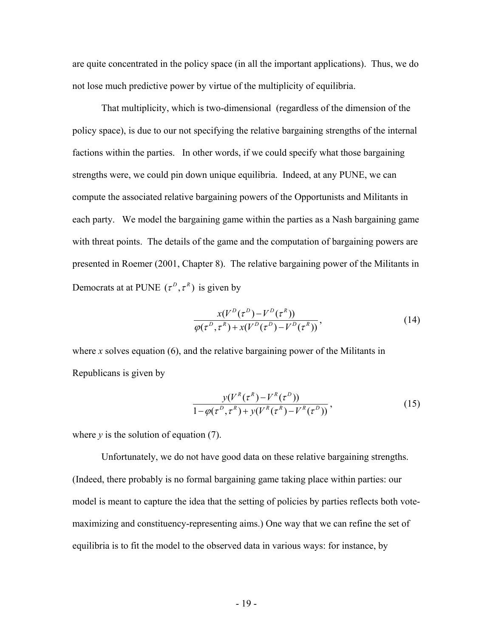are quite concentrated in the policy space (in all the important applications). Thus, we do not lose much predictive power by virtue of the multiplicity of equilibria.

That multiplicity, which is two-dimensional (regardless of the dimension of the policy space), is due to our not specifying the relative bargaining strengths of the internal factions within the parties. In other words, if we could specify what those bargaining strengths were, we could pin down unique equilibria. Indeed, at any PUNE, we can compute the associated relative bargaining powers of the Opportunists and Militants in each party. We model the bargaining game within the parties as a Nash bargaining game with threat points. The details of the game and the computation of bargaining powers are presented in Roemer (2001, Chapter 8). The relative bargaining power of the Militants in Democrats at at PUNE  $(\tau^D, \tau^R)$  is given by

$$
\frac{x(V^D(\tau^D) - V^D(\tau^R))}{\varphi(\tau^D, \tau^R) + x(V^D(\tau^D) - V^D(\tau^R))},
$$
\n(14)

where *x* solves equation (6), and the relative bargaining power of the Militants in Republicans is given by

$$
\frac{y(V^{R}(\tau^{R}) - V^{R}(\tau^{D}))}{1 - \varphi(\tau^{D}, \tau^{R}) + y(V^{R}(\tau^{R}) - V^{R}(\tau^{D}))},
$$
\n(15)

where  $y$  is the solution of equation (7).

 Unfortunately, we do not have good data on these relative bargaining strengths. (Indeed, there probably is no formal bargaining game taking place within parties: our model is meant to capture the idea that the setting of policies by parties reflects both votemaximizing and constituency-representing aims.) One way that we can refine the set of equilibria is to fit the model to the observed data in various ways: for instance, by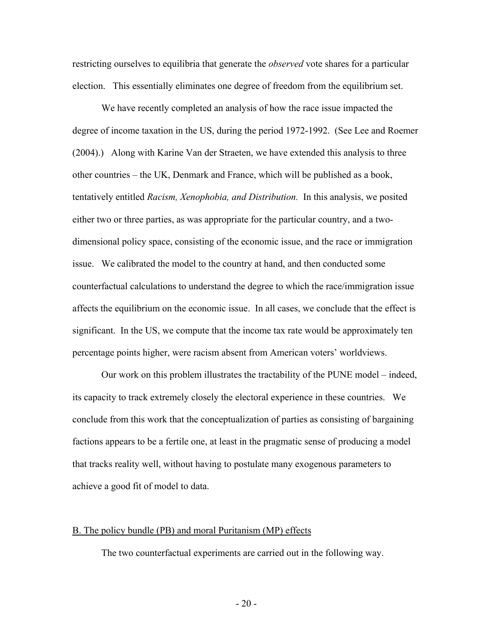restricting ourselves to equilibria that generate the *observed* vote shares for a particular election. This essentially eliminates one degree of freedom from the equilibrium set.

We have recently completed an analysis of how the race issue impacted the degree of income taxation in the US, during the period 1972-1992. (See Lee and Roemer (2004).) Along with Karine Van der Straeten, we have extended this analysis to three other countries – the UK, Denmark and France, which will be published as a book, tentatively entitled *Racism, Xenophobia, and Distribution.* In this analysis, we posited either two or three parties, as was appropriate for the particular country, and a twodimensional policy space, consisting of the economic issue, and the race or immigration issue. We calibrated the model to the country at hand, and then conducted some counterfactual calculations to understand the degree to which the race/immigration issue affects the equilibrium on the economic issue. In all cases, we conclude that the effect is significant. In the US, we compute that the income tax rate would be approximately ten percentage points higher, were racism absent from American voters' worldviews.

 Our work on this problem illustrates the tractability of the PUNE model – indeed, its capacity to track extremely closely the electoral experience in these countries. We conclude from this work that the conceptualization of parties as consisting of bargaining factions appears to be a fertile one, at least in the pragmatic sense of producing a model that tracks reality well, without having to postulate many exogenous parameters to achieve a good fit of model to data.

#### B. The policy bundle (PB) and moral Puritanism (MP) effects

The two counterfactual experiments are carried out in the following way.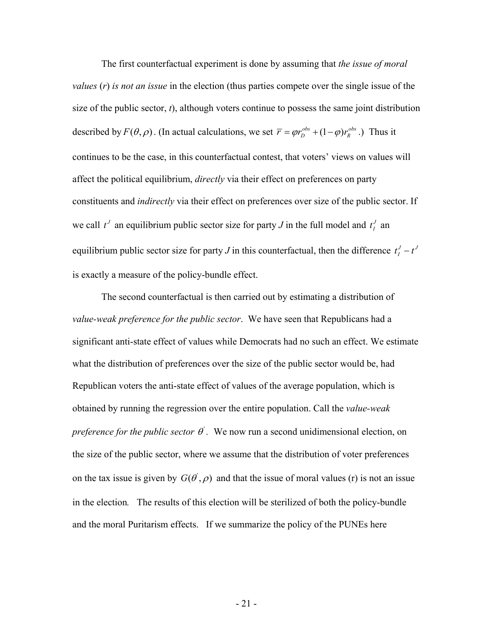The first counterfactual experiment is done by assuming that *the issue of moral values* (*r*) *is not an issue* in the election (thus parties compete over the single issue of the size of the public sector, *t*), although voters continue to possess the same joint distribution described by  $F(\theta, \rho)$ . (In actual calculations, we set  $\overline{r} = \varphi r_D^{obs} + (1 - \varphi) r_R^{obs}$ .) Thus it continues to be the case, in this counterfactual contest, that voters' views on values will affect the political equilibrium, *directly* via their effect on preferences on party constituents and *indirectly* via their effect on preferences over size of the public sector. If we call  $t^J$  an equilibrium public sector size for party *J* in the full model and  $t^J$  an equilibrium public sector size for party *J* in this counterfactual, then the difference  $t<sub>I</sub><sup>J</sup> - t<sup>J</sup>$ is exactly a measure of the policy-bundle effect.

The second counterfactual is then carried out by estimating a distribution of *value-weak preference for the public sector*. We have seen that Republicans had a significant anti-state effect of values while Democrats had no such an effect. We estimate what the distribution of preferences over the size of the public sector would be, had Republican voters the anti-state effect of values of the average population, which is obtained by running the regression over the entire population. Call the *value-weak preference for the public sector*  $\theta$ <sup>'</sup>. We now run a second unidimensional election, on the size of the public sector, where we assume that the distribution of voter preferences on the tax issue is given by  $G(\theta, \rho)$  and that the issue of moral values (r) is not an issue in the election*.* The results of this election will be sterilized of both the policy-bundle and the moral Puritarism effects. If we summarize the policy of the PUNEs here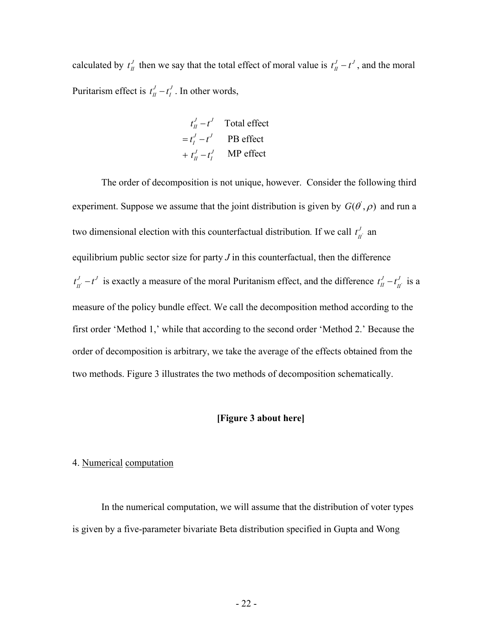calculated by  $t_{II}^J$  then we say that the total effect of moral value is  $t_{II}^J - t^J$ , and the moral Puritarism effect is  $t_I^J - t_I^J$ . In other words,

$$
t_{II}^{J} - t^{J}
$$
 Total effect  
=  $t_{I}^{J} - t^{J}$  PB effect  
+  $t_{II}^{J} - t_{I}^{J}$  MP effect

The order of decomposition is not unique, however. Consider the following third experiment. Suppose we assume that the joint distribution is given by  $G(\theta, \rho)$  and run a two dimensional election with this counterfactual distribution. If we call  $t_{n'}^J$  $t_{II}^J$  an equilibrium public sector size for party  $J$  in this counterfactual, then the difference  $J_{\overrightarrow{n}}$   $-t$ <sup> $J$ </sup>  $t'_{II} - t'$  is exactly a measure of the moral Puritanism effect, and the difference  $t'_{II} - t'_{II}$  $t_{II}^J - t_{II}^J$  is a measure of the policy bundle effect. We call the decomposition method according to the first order 'Method 1,' while that according to the second order 'Method 2.' Because the order of decomposition is arbitrary, we take the average of the effects obtained from the two methods. Figure 3 illustrates the two methods of decomposition schematically.

#### **[Figure 3 about here]**

#### 4. Numerical computation

In the numerical computation, we will assume that the distribution of voter types is given by a five-parameter bivariate Beta distribution specified in Gupta and Wong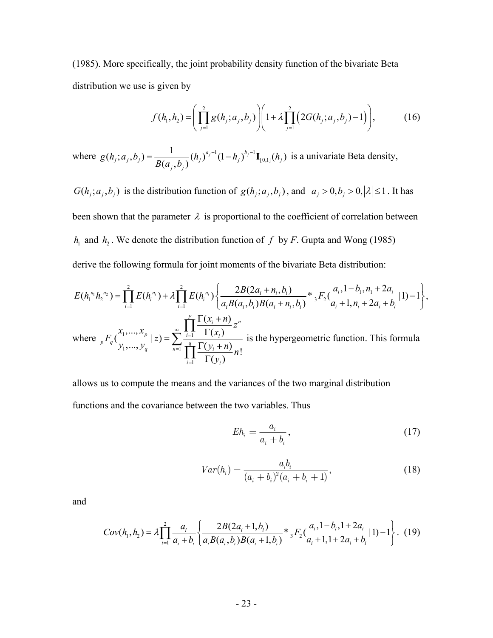(1985). More specifically, the joint probability density function of the bivariate Beta distribution we use is given by

$$
f(h_1, h_2) = \left(\prod_{j=1}^2 g(h_j; a_j, b_j)\right) \left(1 + \lambda \prod_{j=1}^2 \left(2G(h_j; a_j, b_j) - 1\right)\right),\tag{16}
$$

where  $g(h_j; a_j, b_j) = \frac{1}{B(a_j; b_j)} (h_j)^{a_j-1} (1-h_j)^{b_j-1} \mathbf{I}_{[0,1]}(h_j)$  $j, u_j, v_j$  *j*  $\sum_{\mathbf{D}(u_i, v_j)} u_j$   $\mathbf{U}(u_j, u_j)$   $\mathbf{I}(u_j, u_j)$  $g(h_j; a_j, b_j) = \frac{1}{B(a_j, b_j)} (h_j)^{a_j-1} (1-h_j)^{b_j-1} I_{[0,1]}(h_j)$  is a univariate Beta density,

 $G(h_j; a_j, b_j)$  is the distribution function of  $g(h_j; a_j, b_j)$ , and  $a_j > 0, b_j > 0, |\lambda| \le 1$ . It has been shown that the parameter  $\lambda$  is proportional to the coefficient of correlation between  $h_1$  and  $h_2$ . We denote the distribution function of  $f$  by  $F$ . Gupta and Wong (1985) derive the following formula for joint moments of the bivariate Beta distribution:

$$
E(h_1^{n_1}h_2^{n_2}) = \prod_{i=1}^{2} E(h_i^{n_i}) + \lambda \prod_{i=1}^{2} E(h_i^{n_i}) \left\{ \frac{2B(2a_i + n_i, b_i)}{a_i B(a_i, b_i) B(a_i + n_i, b_i)} * {}_3F_2(\frac{a_i, 1 - b_i, n_1 + 2a_i}{a_i + 1, n_i + 2a_i + b_i} | 1) - 1 \right\},\,
$$
  
where  ${}_{p}F_q(\frac{x_1, ..., x_p}{y_1, ..., y_q} | z) = \sum_{n=1}^{\infty} \frac{\prod_{i=1}^{p} \frac{\Gamma(x_i + n)}{\Gamma(x_i)} z^n}{\prod_{i=1}^{q} \frac{\Gamma(y_i + n)}{\Gamma(y_i)} n!}$  is the hypergeometric function. This formula

allows us to compute the means and the variances of the two marginal distribution functions and the covariance between the two variables. Thus

$$
Eh_i = \frac{a_i}{a_i + b_i},\tag{17}
$$

$$
Var(h_i) = \frac{a_i b_i}{(a_i + b_i)^2 (a_i + b_i + 1)},
$$
\n(18)

and

$$
Cov(h_1, h_2) = \lambda \prod_{i=1}^{2} \frac{a_i}{a_i + b_i} \left\{ \frac{2B(2a_i + 1, b_i)}{a_i B(a_i, b_i) B(a_i + 1, b_i)} \right\} \ast {}_{3}F_2\left(\frac{a_i, 1 - b_i, 1 + 2a_i}{a_i + 1, 1 + 2a_i + b_i} | 1 \right) - 1 \right\}.
$$
 (19)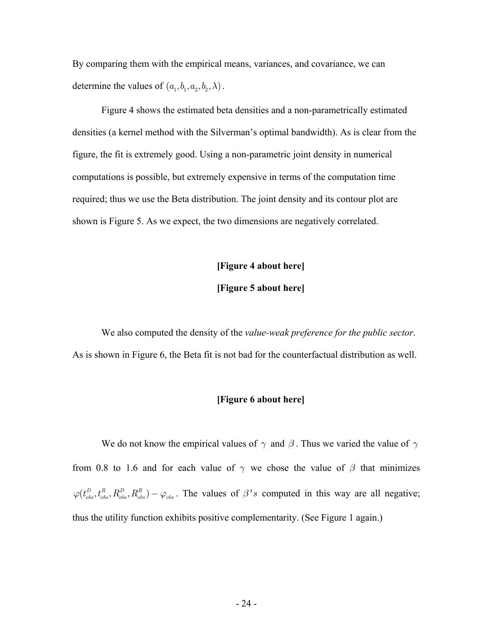By comparing them with the empirical means, variances, and covariance, we can determine the values of  $(a_1, b_1, a_2, b_2, \lambda)$ .

Figure 4 shows the estimated beta densities and a non-parametrically estimated densities (a kernel method with the Silverman's optimal bandwidth). As is clear from the figure, the fit is extremely good. Using a non-parametric joint density in numerical computations is possible, but extremely expensive in terms of the computation time required; thus we use the Beta distribution. The joint density and its contour plot are shown is Figure 5. As we expect, the two dimensions are negatively correlated.

#### **[Figure 4 about here]**

#### **[Figure 5 about here]**

We also computed the density of the *value-weak preference for the public sector*. As is shown in Figure 6, the Beta fit is not bad for the counterfactual distribution as well.

#### **[Figure 6 about here]**

We do not know the empirical values of  $\gamma$  and  $\beta$ . Thus we varied the value of  $\gamma$ from 0.8 to 1.6 and for each value of  $\gamma$  we chose the value of  $\beta$  that minimizes  $\varphi(t_{obs}^D, t_{obs}^R, R_{obs}^D, R_{obs}^R) - \varphi_{obs}$ . The values of  $\beta$ '*s* computed in this way are all negative; thus the utility function exhibits positive complementarity. (See Figure 1 again.)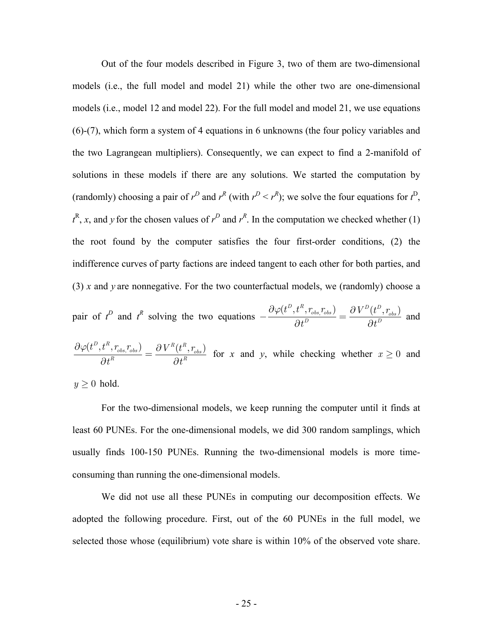Out of the four models described in Figure 3, two of them are two-dimensional models (i.e., the full model and model 21) while the other two are one-dimensional models (i.e., model 12 and model 22). For the full model and model 21, we use equations (6)-(7), which form a system of 4 equations in 6 unknowns (the four policy variables and the two Lagrangean multipliers). Consequently, we can expect to find a 2-manifold of solutions in these models if there are any solutions. We started the computation by (randomly) choosing a pair of  $r^D$  and  $r^R$  (with  $r^D < r^R$ ); we solve the four equations for  $t^D$ ,  $t^R$ , *x*, and *y* for the chosen values of  $r^D$  and  $r^R$ . In the computation we checked whether (1) the root found by the computer satisfies the four first-order conditions, (2) the indifference curves of party factions are indeed tangent to each other for both parties, and (3) *x* and *y* are nonnegative. For the two counterfactual models, we (randomly) choose a

pair of 
$$
t^D
$$
 and  $t^R$  solving the two equations  $-\frac{\partial \varphi(t^D, t^R, r_{obs}, r_{obs})}{\partial t^D} = \frac{\partial V^D(t^D, r_{obs})}{\partial t^D}$  and

 $\left( t^D, t^R, r_{\scriptscriptstyle obs}, r_{\scriptscriptstyle obs} \right) \equiv \partial \, V^R(t^R, r_{\scriptscriptstyle obs})$  $R = 34R$  $\left(t^{D},t^{R},r_{obs}^{T},r_{obs}^{T}\right) \quad \ \ \partial \, V^{R}(t^{R},r)$  $\frac{\partial \varphi(t^D,t^R,r_{obs},r_{obs})}{\partial t^R} = \frac{\partial \, V^R(t)}{\partial t}$ for *x* and *y*, while checking whether  $x \ge 0$  and

 $y \geq 0$  hold.

For the two-dimensional models, we keep running the computer until it finds at least 60 PUNEs. For the one-dimensional models, we did 300 random samplings, which usually finds 100-150 PUNEs. Running the two-dimensional models is more timeconsuming than running the one-dimensional models.

We did not use all these PUNEs in computing our decomposition effects. We adopted the following procedure. First, out of the 60 PUNEs in the full model, we selected those whose (equilibrium) vote share is within 10% of the observed vote share.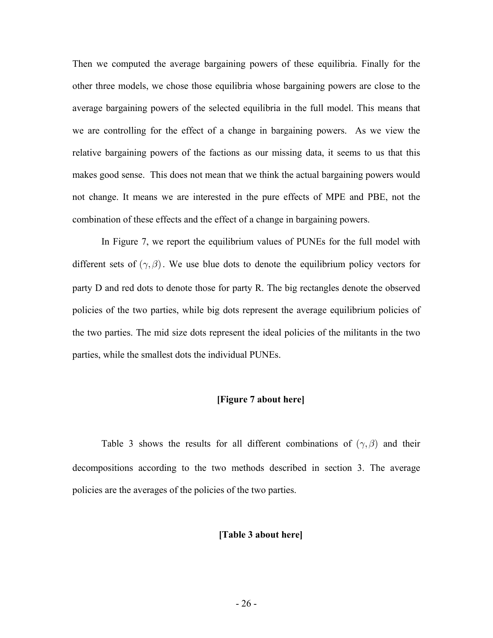Then we computed the average bargaining powers of these equilibria. Finally for the other three models, we chose those equilibria whose bargaining powers are close to the average bargaining powers of the selected equilibria in the full model. This means that we are controlling for the effect of a change in bargaining powers. As we view the relative bargaining powers of the factions as our missing data, it seems to us that this makes good sense. This does not mean that we think the actual bargaining powers would not change. It means we are interested in the pure effects of MPE and PBE, not the combination of these effects and the effect of a change in bargaining powers.

In Figure 7, we report the equilibrium values of PUNEs for the full model with different sets of  $(\gamma, \beta)$ . We use blue dots to denote the equilibrium policy vectors for party D and red dots to denote those for party R. The big rectangles denote the observed policies of the two parties, while big dots represent the average equilibrium policies of the two parties. The mid size dots represent the ideal policies of the militants in the two parties, while the smallest dots the individual PUNEs.

#### **[Figure 7 about here]**

Table 3 shows the results for all different combinations of  $(\gamma, \beta)$  and their decompositions according to the two methods described in section 3. The average policies are the averages of the policies of the two parties.

#### **[Table 3 about here]**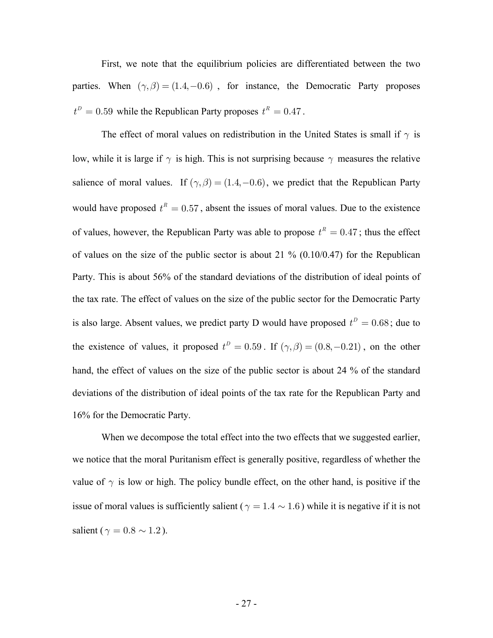First, we note that the equilibrium policies are differentiated between the two parties. When  $(\gamma, \beta) = (1.4, -0.6)$ , for instance, the Democratic Party proposes  $t^D = 0.59$  while the Republican Party proposes  $t^R = 0.47$ .

The effect of moral values on redistribution in the United States is small if  $\gamma$  is low, while it is large if  $\gamma$  is high. This is not surprising because  $\gamma$  measures the relative salience of moral values. If  $(\gamma, \beta) = (1.4, -0.6)$ , we predict that the Republican Party would have proposed  $t^R = 0.57$ , absent the issues of moral values. Due to the existence of values, however, the Republican Party was able to propose  $t^R = 0.47$ ; thus the effect of values on the size of the public sector is about 21  $\%$  (0.10/0.47) for the Republican Party. This is about 56% of the standard deviations of the distribution of ideal points of the tax rate. The effect of values on the size of the public sector for the Democratic Party is also large. Absent values, we predict party D would have proposed  $t^D = 0.68$ ; due to the existence of values, it proposed  $t^D = 0.59$ . If  $(\gamma, \beta) = (0.8, -0.21)$ , on the other hand, the effect of values on the size of the public sector is about 24 % of the standard deviations of the distribution of ideal points of the tax rate for the Republican Party and 16% for the Democratic Party.

When we decompose the total effect into the two effects that we suggested earlier, we notice that the moral Puritanism effect is generally positive, regardless of whether the value of  $\gamma$  is low or high. The policy bundle effect, on the other hand, is positive if the issue of moral values is sufficiently salient ( $\gamma = 1.4 \sim 1.6$ ) while it is negative if it is not salient ( $\gamma = 0.8 \sim 1.2$ ).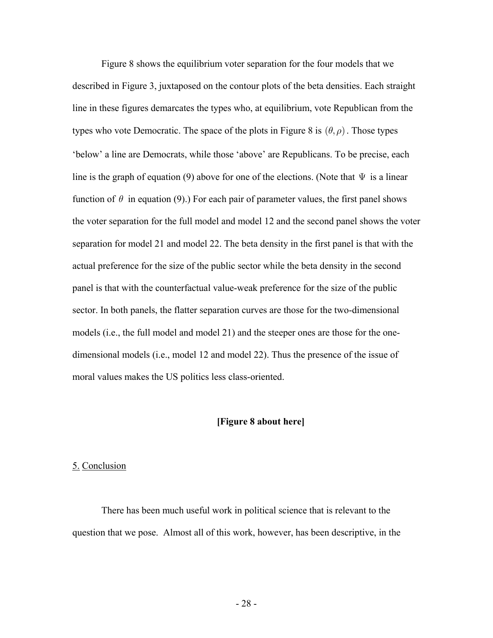Figure 8 shows the equilibrium voter separation for the four models that we described in Figure 3, juxtaposed on the contour plots of the beta densities. Each straight line in these figures demarcates the types who, at equilibrium, vote Republican from the types who vote Democratic. The space of the plots in Figure 8 is  $(\theta, \rho)$ . Those types 'below' a line are Democrats, while those 'above' are Republicans. To be precise, each line is the graph of equation (9) above for one of the elections. (Note that  $\Psi$  is a linear function of  $\theta$  in equation (9).) For each pair of parameter values, the first panel shows the voter separation for the full model and model 12 and the second panel shows the voter separation for model 21 and model 22. The beta density in the first panel is that with the actual preference for the size of the public sector while the beta density in the second panel is that with the counterfactual value-weak preference for the size of the public sector. In both panels, the flatter separation curves are those for the two-dimensional models (i.e., the full model and model 21) and the steeper ones are those for the onedimensional models (i.e., model 12 and model 22). Thus the presence of the issue of moral values makes the US politics less class-oriented.

#### **[Figure 8 about here]**

#### 5. Conclusion

There has been much useful work in political science that is relevant to the question that we pose. Almost all of this work, however, has been descriptive, in the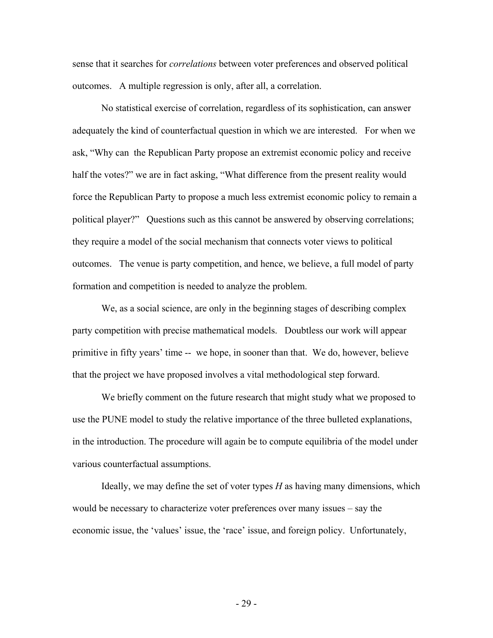sense that it searches for *correlations* between voter preferences and observed political outcomes. A multiple regression is only, after all, a correlation.

 No statistical exercise of correlation, regardless of its sophistication, can answer adequately the kind of counterfactual question in which we are interested. For when we ask, "Why can the Republican Party propose an extremist economic policy and receive half the votes?" we are in fact asking, "What difference from the present reality would force the Republican Party to propose a much less extremist economic policy to remain a political player?" Questions such as this cannot be answered by observing correlations; they require a model of the social mechanism that connects voter views to political outcomes. The venue is party competition, and hence, we believe, a full model of party formation and competition is needed to analyze the problem.

 We, as a social science, are only in the beginning stages of describing complex party competition with precise mathematical models. Doubtless our work will appear primitive in fifty years' time -- we hope, in sooner than that. We do, however, believe that the project we have proposed involves a vital methodological step forward.

We briefly comment on the future research that might study what we proposed to use the PUNE model to study the relative importance of the three bulleted explanations, in the introduction. The procedure will again be to compute equilibria of the model under various counterfactual assumptions.

Ideally, we may define the set of voter types *H* as having many dimensions, which would be necessary to characterize voter preferences over many issues – say the economic issue, the 'values' issue, the 'race' issue, and foreign policy. Unfortunately,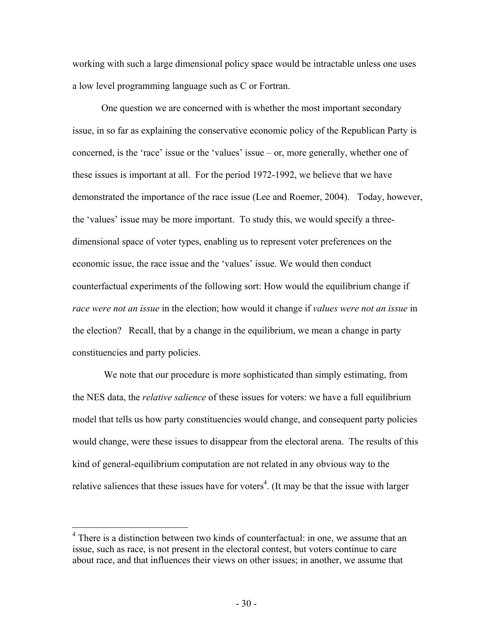working with such a large dimensional policy space would be intractable unless one uses a low level programming language such as C or Fortran.

One question we are concerned with is whether the most important secondary issue, in so far as explaining the conservative economic policy of the Republican Party is concerned, is the 'race' issue or the 'values' issue – or, more generally, whether one of these issues is important at all. For the period 1972-1992, we believe that we have demonstrated the importance of the race issue (Lee and Roemer, 2004). Today, however, the 'values' issue may be more important. To study this, we would specify a threedimensional space of voter types, enabling us to represent voter preferences on the economic issue, the race issue and the 'values' issue. We would then conduct counterfactual experiments of the following sort: How would the equilibrium change if *race were not an issue* in the election; how would it change if *values were not an issue* in the election? Recall, that by a change in the equilibrium, we mean a change in party constituencies and party policies.

 We note that our procedure is more sophisticated than simply estimating, from the NES data, the *relative salience* of these issues for voters: we have a full equilibrium model that tells us how party constituencies would change, and consequent party policies would change, were these issues to disappear from the electoral arena. The results of this kind of general-equilibrium computation are not related in any obvious way to the relative saliences that these issues have for voters<sup>4</sup>. (It may be that the issue with larger

<sup>&</sup>lt;sup>4</sup> There is a distinction between two kinds of counterfactual: in one, we assume that an issue, such as race, is not present in the electoral contest, but voters continue to care about race, and that influences their views on other issues; in another, we assume that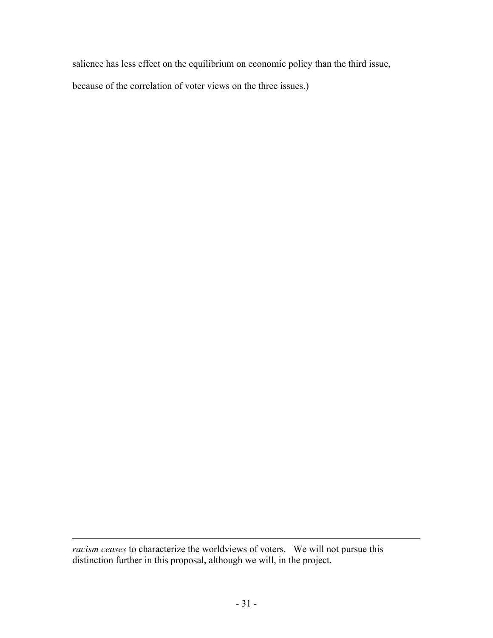salience has less effect on the equilibrium on economic policy than the third issue,

because of the correlation of voter views on the three issues.)

1

*racism ceases* to characterize the worldviews of voters. We will not pursue this distinction further in this proposal, although we will, in the project.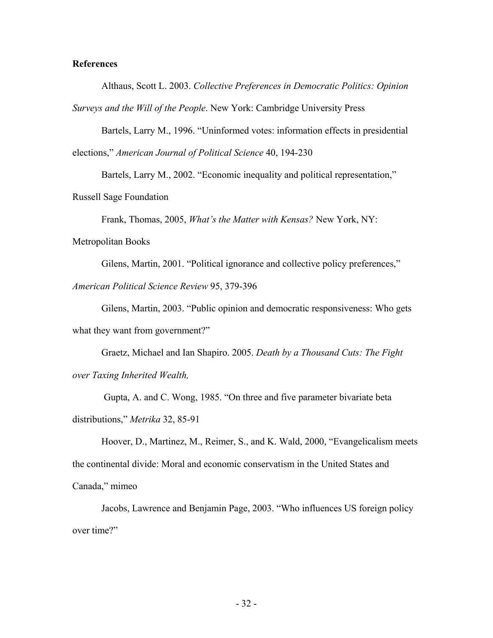#### **References**

Althaus, Scott L. 2003. *Collective Preferences in Democratic Politics: Opinion Surveys and the Will of the People*. New York: Cambridge University Press

Bartels, Larry M., 1996. "Uninformed votes: information effects in presidential elections," *American Journal of Political Science* 40, 194-230

Bartels, Larry M., 2002. "Economic inequality and political representation,"

Russell Sage Foundation

Frank, Thomas, 2005, *What's the Matter with Kensas?* New York, NY:

Metropolitan Books

Gilens, Martin, 2001. "Political ignorance and collective policy preferences," *American Political Science Review* 95, 379-396

Gilens, Martin, 2003. "Public opinion and democratic responsiveness: Who gets what they want from government?"

Graetz, Michael and Ian Shapiro. 2005. *Death by a Thousand Cuts: The Fight over Taxing Inherited Wealth,* 

 Gupta, A. and C. Wong, 1985. "On three and five parameter bivariate beta distributions," *Metrika* 32, 85-91

Hoover, D., Martinez, M., Reimer, S., and K. Wald, 2000, "Evangelicalism meets the continental divide: Moral and economic conservatism in the United States and Canada," mimeo

Jacobs, Lawrence and Benjamin Page, 2003. "Who influences US foreign policy over time?"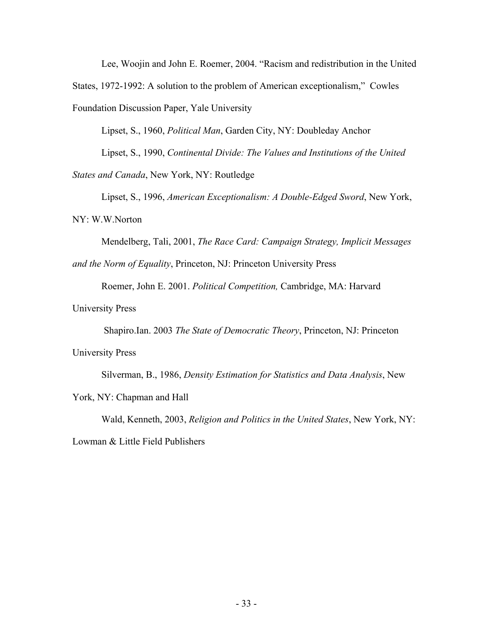Lee, Woojin and John E. Roemer, 2004. "Racism and redistribution in the United

States, 1972-1992: A solution to the problem of American exceptionalism," Cowles

Foundation Discussion Paper, Yale University

Lipset, S., 1960, *Political Man*, Garden City, NY: Doubleday Anchor

Lipset, S., 1990, *Continental Divide: The Values and Institutions of the United* 

*States and Canada*, New York, NY: Routledge

Lipset, S., 1996, *American Exceptionalism: A Double-Edged Sword*, New York,

NY: W.W.Norton

Mendelberg, Tali, 2001, *The Race Card: Campaign Strategy, Implicit Messages* 

*and the Norm of Equality*, Princeton, NJ: Princeton University Press

Roemer, John E. 2001. *Political Competition,* Cambridge, MA: Harvard

University Press

Shapiro.Ian. 2003 *The State of Democratic Theory*, Princeton, NJ: Princeton

University Press

Silverman, B., 1986, *Density Estimation for Statistics and Data Analysis*, New

York, NY: Chapman and Hall

Wald, Kenneth, 2003, *Religion and Politics in the United States*, New York, NY:

Lowman & Little Field Publishers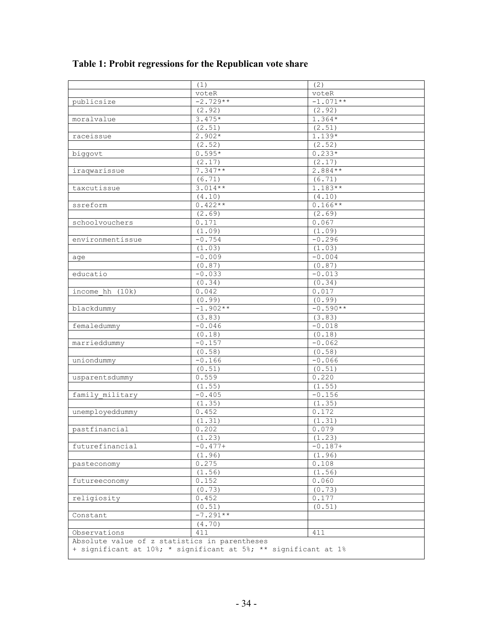|                                                                 | (1)        | (2)        |  |  |  |
|-----------------------------------------------------------------|------------|------------|--|--|--|
|                                                                 | voteR      | voteR      |  |  |  |
| publicsize                                                      | $-2.729**$ | $-1.071**$ |  |  |  |
|                                                                 | (2.92)     | (2.92)     |  |  |  |
| moralvalue                                                      | $3.475*$   | $1.364*$   |  |  |  |
|                                                                 | (2.51)     | (2.51)     |  |  |  |
| raceissue                                                       | $2.902*$   | 1.139*     |  |  |  |
|                                                                 | (2.52)     | (2.52)     |  |  |  |
| biggovt                                                         | $0.595*$   | $0.233*$   |  |  |  |
|                                                                 | (2.17)     | (2.17)     |  |  |  |
| iraqwarissue                                                    | $7.347**$  | $2.884**$  |  |  |  |
|                                                                 | (6.71)     | (6.71)     |  |  |  |
| taxcutissue                                                     | $3.014**$  | $1.183**$  |  |  |  |
|                                                                 | (4.10)     | (4.10)     |  |  |  |
| ssreform                                                        | $0.422**$  | $0.166**$  |  |  |  |
|                                                                 | (2.69)     | (2.69)     |  |  |  |
| schoolvouchers                                                  | 0.171      | 0.067      |  |  |  |
|                                                                 | (1.09)     | (1.09)     |  |  |  |
| environmentissue                                                | $-0.754$   | $-0.296$   |  |  |  |
|                                                                 | (1.03)     | (1.03)     |  |  |  |
| age                                                             | $-0.009$   | $-0.004$   |  |  |  |
|                                                                 | (0.87)     | (0.87)     |  |  |  |
| educatio                                                        | $-0.033$   | $-0.013$   |  |  |  |
|                                                                 | (0.34)     | (0.34)     |  |  |  |
| income $hh$ $(10k)$                                             | 0.042      | 0.017      |  |  |  |
|                                                                 | (0.99)     | (0.99)     |  |  |  |
| blackdummy                                                      | $-1.902**$ | $-0.590**$ |  |  |  |
|                                                                 | (3.83)     | (3.83)     |  |  |  |
| femaledummy                                                     | $-0.046$   | $-0.018$   |  |  |  |
|                                                                 | (0.18)     | (0.18)     |  |  |  |
| marrieddummy                                                    | $-0.157$   | $-0.062$   |  |  |  |
|                                                                 | (0.58)     | (0.58)     |  |  |  |
| uniondummy                                                      | $-0.166$   | $-0.066$   |  |  |  |
|                                                                 | (0.51)     | (0.51)     |  |  |  |
| usparentsdummy                                                  | 0.559      | 0.220      |  |  |  |
|                                                                 | (1.55)     | (1.55)     |  |  |  |
| family military                                                 | $-0.405$   | $-0.156$   |  |  |  |
|                                                                 | (1.35)     | (1.35)     |  |  |  |
| unemployeddummy                                                 | 0.452      | 0.172      |  |  |  |
|                                                                 | (1.31)     | (1.31)     |  |  |  |
| pastfinancial                                                   | 0.202      | 0.079      |  |  |  |
|                                                                 | (1.23)     | (1.23)     |  |  |  |
| futurefinancial                                                 | $-0.477+$  | $-0.187+$  |  |  |  |
|                                                                 | (1.96)     | (1.96)     |  |  |  |
| pasteconomy                                                     | 0.275      | 0.108      |  |  |  |
|                                                                 | (1.56)     | (1.56)     |  |  |  |
| futureeconomy                                                   | 0.152      | 0.060      |  |  |  |
|                                                                 | (0.73)     | (0.73)     |  |  |  |
| religiosity                                                     | 0.452      | 0.177      |  |  |  |
|                                                                 | (0.51)     | (0.51)     |  |  |  |
| Constant                                                        | $-7.291**$ |            |  |  |  |
|                                                                 | (4.70)     |            |  |  |  |
| Observations                                                    | 411        | 411        |  |  |  |
| Absolute value of z statistics in parentheses                   |            |            |  |  |  |
| + significant at 10%; * significant at 5%; ** significant at 1% |            |            |  |  |  |

## **Table 1: Probit regressions for the Republican vote share**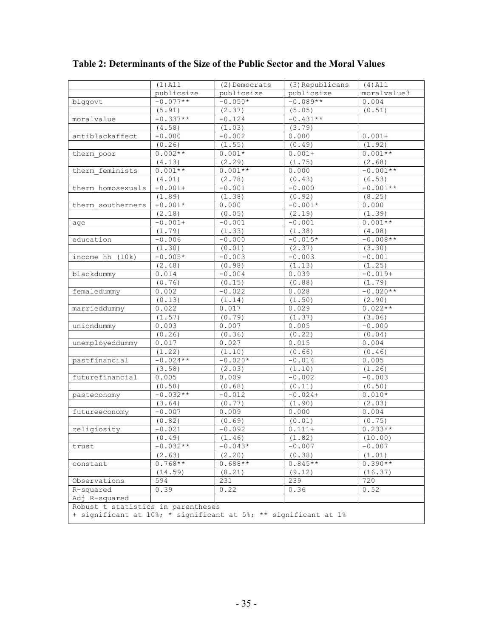|                                                                 | $(1)$ All  | (2) Democrats | (3) Republicans | $(4)$ All   |
|-----------------------------------------------------------------|------------|---------------|-----------------|-------------|
|                                                                 | publicsize | public size   | publicsize      | moralvalue3 |
| biggovt                                                         | $-0.077**$ | $-0.050*$     | $-0.089**$      | 0.004       |
|                                                                 | (5.91)     | (2.37)        | (5.05)          | (0.51)      |
| moralvalue                                                      | $-0.337**$ | $-0.124$      | $-0.431**$      |             |
|                                                                 | (4.58)     | (1.03)        | (3.79)          |             |
| antiblackaffect                                                 | $-0.000$   | $-0.002$      | 0.000           | $0.001+$    |
|                                                                 | (0.26)     | (1.55)        | (0.49)          | (1.92)      |
| therm poor                                                      | $0.002**$  | $0.001*$      | $0.001+$        | $0.001**$   |
|                                                                 | (4.13)     | (2.29)        | (1.75)          | (2.68)      |
| therm feminists                                                 | $0.001**$  | $0.001**$     | 0.000           | $-0.001**$  |
|                                                                 | (4.01)     | (2.78)        | (0.43)          | (6.53)      |
| therm homosexuals                                               | $-0.001+$  | $-0.001$      | $-0.000$        | $-0.001**$  |
|                                                                 | (1.89)     | (1.38)        | (0.92)          | (8.25)      |
| therm southerners                                               | $-0.001*$  | 0.000         | $-0.001*$       | 0.000       |
|                                                                 | (2.18)     | (0.05)        | (2.19)          | (1.39)      |
| age                                                             | $-0.001+$  | $-0.001$      | $-0.001$        | $0.001**$   |
|                                                                 | (1.79)     | (1.33)        | (1.38)          | (4.08)      |
| education                                                       | $-0.006$   | $-0.000$      | $-0.015*$       | $-0.008**$  |
|                                                                 | (1.30)     | (0.01)        | (2.37)          | (3.30)      |
| income hh (10k)                                                 | $-0.005*$  | $-0.003$      | $-0.003$        | $-0.001$    |
|                                                                 | (2.48)     | (0.98)        | (1.13)          | (1.25)      |
| blackdummy                                                      | 0.014      | $-0.004$      | 0.039           | $-0.019+$   |
|                                                                 | (0.76)     | (0.15)        | (0.88)          | (1.79)      |
| femaledummy                                                     | 0.002      | $-0.022$      | 0.028           | $-0.020**$  |
|                                                                 | (0.13)     | (1.14)        | (1.50)          | (2.90)      |
| marrieddummy                                                    | 0.022      | 0.017         | 0.029           | $0.022**$   |
|                                                                 | (1.57)     | (0.79)        | (1.37)          | (3.06)      |
| uniondummy                                                      | 0.003      | 0.007         | 0.005           | $-0.000$    |
|                                                                 | (0.26)     | (0.36)        | (0.22)          | (0.04)      |
| unemployeddummy                                                 | 0.017      | 0.027         | 0.015           | 0.004       |
|                                                                 | (1.22)     | (1.10)        | (0.66)          | (0.46)      |
| pastfinancial                                                   | $-0.024**$ | $-0.020*$     | $-0.014$        | 0.005       |
|                                                                 | (3.58)     | (2.03)        | (1.10)          | (1.26)      |
| futurefinancial                                                 | 0.005      | 0.009         | $-0.002$        | $-0.003$    |
|                                                                 | (0.58)     | (0.68)        | (0.11)          | (0.50)      |
| pasteconomy                                                     | $-0.032**$ | $-0.012$      | $-0.024+$       | $0.010*$    |
|                                                                 | (3.64)     | (0.77)        | (1.90)          | (2.03)      |
| futureeconomy                                                   | $-0.007$   | 0.009         | 0.000           | 0.004       |
|                                                                 | (0.82)     | (0.69)        | (0.01)          | (0.75)      |
| religiosity                                                     | $-0.021$   | $-0.092$      | $0.111 +$       | $0.233**$   |
|                                                                 | (0.49)     | (1.46)        | (1.82)          | (10.00)     |
| trust                                                           | $-0.032**$ | $-0.043*$     | $-0.007$        | $-0.007$    |
|                                                                 | (2.63)     | (2, 20)       | (0.38)          | (1.01)      |
| constant                                                        | $0.768**$  | $0.688**$     | $0.845**$       | $0.390**$   |
|                                                                 | (14.59)    | (8.21)        | (9.12)          | (16.37)     |
| Observations                                                    | 594        | 231           | 239             | 720         |
| R-squared                                                       | 0.39       | 0.22          | 0.36            | 0.52        |
| Adj R-squared                                                   |            |               |                 |             |
| Robust t statistics in parentheses                              |            |               |                 |             |
| + significant at 10%; * significant at 5%; ** significant at 1% |            |               |                 |             |

**Table 2: Determinants of the Size of the Public Sector and the Moral Values**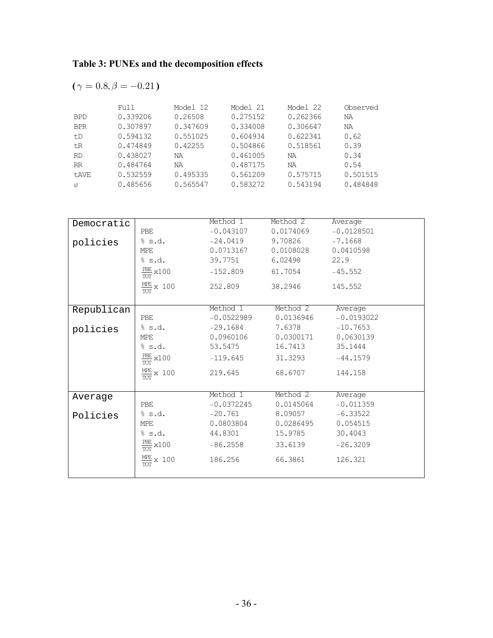## **Table 3: PUNEs and the decomposition effects**

$$
(\gamma = 0.8, \beta = -0.21)
$$

|            | Full     | Model 12 | Model 21 | Model 22 | Observed |
|------------|----------|----------|----------|----------|----------|
| <b>BPD</b> | 0.339206 | 0.26508  | 0.275152 | 0.262366 | NA       |
| <b>BPR</b> | 0.307897 | 0.347609 | 0.334008 | 0.306647 | NA       |
| t.D        | 0.594132 | 0.551025 | 0.604934 | 0.622341 | 0.62     |
| tR         | 0.474849 | 0.42255  | 0.504866 | 0.518561 | 0.39     |
| <b>RD</b>  | 0.438027 | ΝA       | 0.461005 | ΝA       | 0.34     |
| RR         | 0.484764 | ΝA       | 0.487175 | ΝA       | 0.54     |
| t.AVE      | 0.532559 | 0.495335 | 0.561209 | 0.575715 | 0.501515 |
| $\varphi$  | 0.485656 | 0.565547 | 0.583272 | 0.543194 | 0.484848 |

| Democratic |                                            | Method 1     | Method 2  | Average      |
|------------|--------------------------------------------|--------------|-----------|--------------|
|            | <b>PBE</b>                                 | $-0.043107$  | 0.0174069 | $-0.0128501$ |
| policies   | % s.d.                                     | $-24.0419$   | 9.70826   | $-7.1668$    |
|            | MPE                                        | 0.0713167    | 0.0108028 | 0.0410598    |
|            | \$s.d.                                     | 39.7751      | 6.02498   | 22.9         |
|            | $\frac{PBE}{100} \times 100$<br><b>TOT</b> | $-152.809$   | 61.7054   | $-45.552$    |
|            | $\frac{MPE}{TOT}$ x 100                    | 252.809      | 38,2946   | 145.552      |
| Republican |                                            | Method 1     | Method 2  | Average      |
|            | PBE                                        | $-0.0522989$ | 0.0136946 | $-0.0193022$ |
| policies   | % s.d.                                     | $-29.1684$   | 7.6378    | $-10.7653$   |
|            | MPE                                        | 0.0960106    | 0.0300171 | 0.0630139    |
|            | % s.d.                                     | 53.5475      | 16.7413   | 35.1444      |
|            | $\frac{PBE}{2}$ x 100<br><b>TOT</b>        | $-119.645$   | 31,3293   | $-44.1579$   |
|            | $\frac{MEE}{TOT}$ x 100                    | 219.645      | 68.6707   | 144.158      |
|            |                                            |              |           |              |
| Average    |                                            | Method 1     | Method 2  | Average      |
|            | PBE                                        | $-0.0372245$ | 0.0145064 | $-0.011359$  |
| Policies   | % s.d.                                     | $-20.761$    | 8.09057   | $-6.33522$   |
|            | MPE                                        | 0.0803804    | 0.0286495 | 0.054515     |
|            | % s.d.                                     | 44.8301      | 15.9785   | 30.4043      |
|            | $\frac{PBE}{TOT}$ x100                     | $-86.2558$   | 33.6139   | $-26.3209$   |
|            | $\frac{ME}{X}$ x 100<br>TOT                | 186.256      | 66.3861   | 126.321      |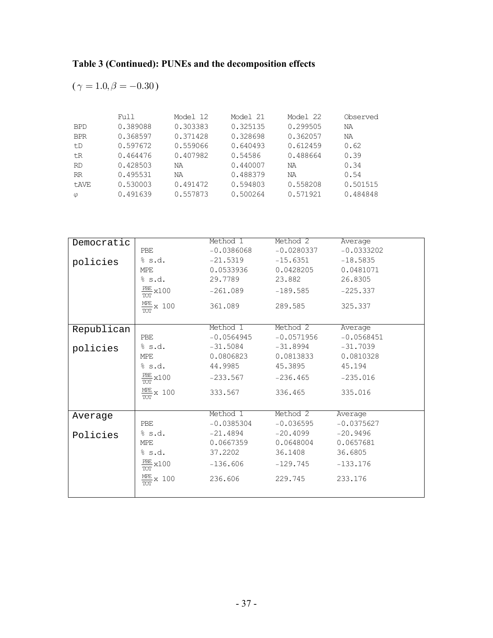$$
(\gamma = 1.0, \beta = -0.30)
$$

|            | Full     | Model 12 | Model 21 | Model 22 | Observed |
|------------|----------|----------|----------|----------|----------|
| <b>BPD</b> | 0.389088 | 0.303383 | 0.325135 | 0.299505 | NA       |
| <b>BPR</b> | 0.368597 | 0.371428 | 0.328698 | 0.362057 | NA       |
| t.D        | 0.597672 | 0.559066 | 0.640493 | 0.612459 | 0.62     |
| tR         | 0.464476 | 0.407982 | 0.54586  | 0.488664 | 0.39     |
| <b>RD</b>  | 0.428503 | ΝA       | 0.440007 | ΝA       | 0.34     |
| RR         | 0.495531 | ΝA       | 0.488379 | ΝA       | 0.54     |
| t.AVE      | 0.530003 | 0.491472 | 0.594803 | 0.558208 | 0.501515 |
| $\varphi$  | 0.491639 | 0.557873 | 0.500264 | 0.571921 | 0.484848 |

|            |                         | Method 1     | Method 2     | Average      |
|------------|-------------------------|--------------|--------------|--------------|
| Democratic |                         |              |              |              |
|            | PBE                     | $-0.0386068$ | $-0.0280337$ | $-0.0333202$ |
| policies   | % s.d.                  | $-21.5319$   | $-15.6351$   | $-18.5835$   |
|            | MPE                     | 0.0533936    | 0.0428205    | 0.0481071    |
|            | % s.d.                  | 29.7789      | 23.882       | 26.8305      |
|            | $\frac{PBE}{TOT}$ x 100 | $-261.089$   | $-189.585$   | $-225.337$   |
|            | $\frac{MPE}{TOT}$ x 100 | 361.089      | 289.585      | 325.337      |
|            |                         |              |              |              |
| Republican |                         | Method 1     | Method 2     | Average      |
|            | PBE                     | $-0.0564945$ | $-0.0571956$ | $-0.0568451$ |
| policies   | % s.d.                  | $-31.5084$   | $-31.8994$   | $-31.7039$   |
|            | MPE                     | 0.0806823    | 0.0813833    | 0.0810328    |
|            | % s.d.                  | 44.9985      | 45.3895      | 45.194       |
|            | $\frac{PBE}{TOT}$ x100  | $-233.567$   | $-236.465$   | $-235.016$   |
|            | $\frac{MPE}{TOT}$ x 100 | 333.567      | 336.465      | 335.016      |
|            |                         |              |              |              |
| Average    |                         | Method 1     | Method 2     | Average      |
|            | PBE                     | $-0.0385304$ | $-0.036595$  | $-0.0375627$ |
| Policies   | % s.d.                  | $-21.4894$   | $-20.4099$   | $-20.9496$   |
|            | MPE                     | 0.0667359    | 0.0648004    | 0.0657681    |
|            | % s.d.                  | 37,2202      | 36.1408      | 36.6805      |
|            | $\frac{PBE}{TOT}$ x 100 | $-136.606$   | $-129.745$   | $-133.176$   |
|            | $\frac{MPE}{TOT}$ x 100 | 236.606      | 229.745      | 233.176      |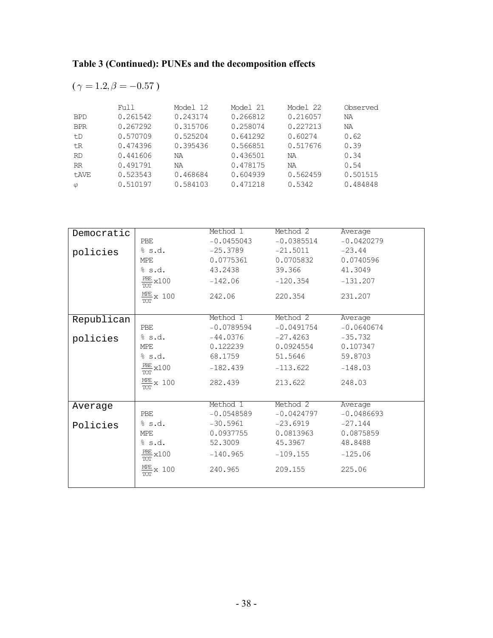$$
(\gamma = 1.2, \beta = -0.57)
$$

|              | Full     | Model 12 | Model 21 | Model 22 | Observed |
|--------------|----------|----------|----------|----------|----------|
| <b>BPD</b>   | 0.261542 | 0.243174 | 0.266812 | 0.216057 | ΝA       |
| <b>BPR</b>   | 0.267292 | 0.315706 | 0.258074 | 0.227213 | ΝA       |
| t.D          | 0.570709 | 0.525204 | 0.641292 | 0.60274  | 0.62     |
| tR           | 0.474396 | 0.395436 | 0.566851 | 0.517676 | 0.39     |
| <b>RD</b>    | 0.441606 | ΝA       | 0.436501 | ΝA       | 0.34     |
| RR           | 0.491791 | ΝA       | 0.478175 | ΝA       | 0.54     |
| <b>t.AVE</b> | 0.523543 | 0.468684 | 0.604939 | 0.562459 | 0.501515 |
| $\varphi$    | 0.510197 | 0.584103 | 0.471218 | 0.5342   | 0.484848 |

| Democratic |                                     | Method 1     | Method 2     | Average      |
|------------|-------------------------------------|--------------|--------------|--------------|
|            | <b>PBE</b>                          | $-0.0455043$ | $-0.0385514$ | $-0.0420279$ |
| policies   | % s.d.                              | $-25.3789$   | $-21.5011$   | $-23.44$     |
|            | MPE                                 | 0.0775361    | 0.0705832    | 0.0740596    |
|            | \$s.d.                              | 43.2438      | 39.366       | 41.3049      |
|            | $\frac{PBE}{100} \times 100$<br>TOT | $-142.06$    | $-120.354$   | $-131.207$   |
|            | $\frac{MPE}{TOT}$ x 100             | 242.06       | 220.354      | 231.207      |
|            |                                     |              |              |              |
| Republican |                                     | Method 1     | Method 2     | Average      |
|            | PBE                                 | $-0.0789594$ | $-0.0491754$ | $-0.0640674$ |
| policies   | % s.d.                              | $-44.0376$   | $-27.4263$   | $-35.732$    |
|            | MPE                                 | 0.122239     | 0.0924554    | 0.107347     |
|            | % s.d.                              | 68.1759      | 51.5646      | 59.8703      |
|            | $\frac{PBE}{2}$ x 100<br><b>TOT</b> | $-182.439$   | $-113.622$   | $-148.03$    |
|            | $\frac{MPE}{TOT}$ x 100             | 282.439      | 213.622      | 248.03       |
|            |                                     |              |              |              |
| Average    |                                     | Method 1     | Method 2     | Average      |
|            | PBE                                 | $-0.0548589$ | $-0.0424797$ | $-0.0486693$ |
| Policies   | % s.d.                              | $-30.5961$   | $-23.6919$   | $-27.144$    |
|            | MPE                                 | 0.0937755    | 0.0813963    | 0.0875859    |
|            | % s.d.                              | 52.3009      | 45.3967      | 48.8488      |
|            | $\frac{PBE}{TOT}$ x100              | $-140.965$   | $-109.155$   | $-125.06$    |
|            | $\frac{ME}{X}$ x 100<br>TOT         | 240.965      | 209.155      | 225.06       |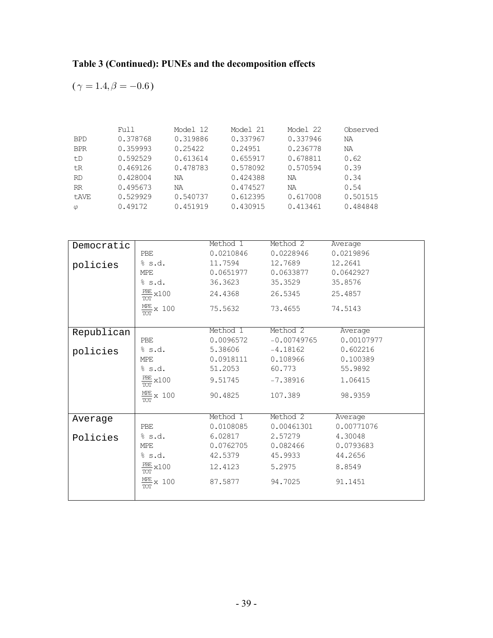$$
(\gamma = 1.4, \beta = -0.6)
$$

|            | Full     | Model 12 | Model 21 | Model 22 | Observed |
|------------|----------|----------|----------|----------|----------|
| <b>BPD</b> | 0.378768 | 0.319886 | 0.337967 | 0.337946 | NA       |
| <b>BPR</b> | 0.359993 | 0.25422  | 0.24951  | 0.236778 | NA       |
| t.D        | 0.592529 | 0.613614 | 0.655917 | 0.678811 | 0.62     |
| tR         | 0.469126 | 0.478783 | 0.578092 | 0.570594 | 0.39     |
| <b>RD</b>  | 0.428004 | NA       | 0.424388 | ΝA       | 0.34     |
| <b>RR</b>  | 0.495673 | ΝA       | 0.474527 | ΝA       | 0.54     |
| t.AVE      | 0.529929 | 0.540737 | 0.612395 | 0.617008 | 0.501515 |
| $\varphi$  | 0.49172  | 0.451919 | 0.430915 | 0.413461 | 0.484848 |

| Democratic |                                     | Method 1  | Method 2      | Average    |
|------------|-------------------------------------|-----------|---------------|------------|
|            | <b>PBE</b>                          | 0.0210846 | 0.0228946     | 0.0219896  |
| policies   | % s.d.                              | 11.7594   | 12.7689       | 12.2641    |
|            | <b>MPE</b>                          | 0.0651977 | 0.0633877     | 0.0642927  |
|            | % s.d.                              | 36.3623   | 35.3529       | 35.8576    |
|            | $\frac{PBE}{1}$ x 100<br><b>TOT</b> | 24.4368   | 26.5345       | 25.4857    |
|            | $\frac{MPE}{TOT}$ x 100             | 75.5632   | 73.4655       | 74.5143    |
| Republican |                                     | Method 1  | Method 2      | Average    |
|            | PBE                                 | 0.0096572 | $-0.00749765$ | 0.00107977 |
| policies   | % s.d.                              | 5.38606   | $-4.18162$    | 0.602216   |
|            | MPE                                 | 0.0918111 | 0.108966      | 0.100389   |
|            | % s.d.                              | 51.2053   | 60.773        | 55.9892    |
|            | $\frac{PBE}{1}$ x 100<br><b>TOT</b> | 9.51745   | $-7.38916$    | 1.06415    |
|            | $\frac{MPE}{TOT}$ x 100             | 90.4825   | 107.389       | 98.9359    |
|            |                                     |           |               |            |
| Average    |                                     | Method 1  | Method 2      | Average    |
|            | PBE                                 | 0.0108085 | 0.00461301    | 0.00771076 |
| Policies   | % s.d.                              | 6.02817   | 2.57279       | 4.30048    |
|            | MPE                                 | 0.0762705 | 0.082466      | 0.0793683  |
|            | % s.d.                              | 42.5379   | 45.9933       | 44.2656    |
|            | $\frac{PBE}{TOT}$ x100              | 12.4123   | 5.2975        | 8.8549     |
|            | $\frac{MEE}{TOT}$ x 100             | 87.5877   | 94.7025       | 91.1451    |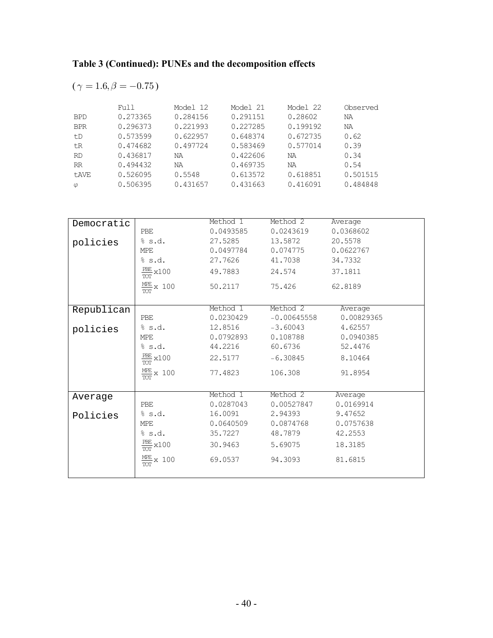$$
(\gamma = 1.6, \beta = -0.75)
$$

|              | Full     | Model 12 | Model 21 | Model 22 | Observed |
|--------------|----------|----------|----------|----------|----------|
| <b>BPD</b>   | 0.273365 | 0.284156 | 0.291151 | 0.28602  | NA       |
| <b>BPR</b>   | 0.296373 | 0.221993 | 0.227285 | 0.199192 | NA       |
| t.D          | 0.573599 | 0.622957 | 0.648374 | 0.672735 | 0.62     |
| tR           | 0.474682 | 0.497724 | 0.583469 | 0.577014 | 0.39     |
| <b>RD</b>    | 0.436817 | ΝA       | 0.422606 | ΝA       | 0.34     |
| RR           | 0.494432 | ΝA       | 0.469735 | ΝA       | 0.54     |
| <b>t.AVE</b> | 0.526095 | 0.5548   | 0.613572 | 0.618851 | 0.501515 |
| $\varphi$    | 0.506395 | 0.431657 | 0.431663 | 0.416091 | 0.484848 |

| Democratic |                                     | Method 1  | Method 2      | Average    |
|------------|-------------------------------------|-----------|---------------|------------|
|            | <b>PBE</b>                          | 0.0493585 | 0.0243619     | 0.0368602  |
| policies   | % s.d.                              | 27.5285   | 13.5872       | 20.5578    |
|            | MPE                                 | 0.0497784 | 0.074775      | 0.0622767  |
|            | % s.d.                              | 27.7626   | 41.7038       | 34.7332    |
|            | $\frac{PBE}{1}$ x 100<br><b>TOT</b> | 49.7883   | 24.574        | 37.1811    |
|            | $\frac{MPE}{TOT}$ x 100             | 50.2117   | 75.426        | 62.8189    |
|            |                                     | Method 1  | Method 2      | Average    |
| Republican | PBE                                 | 0.0230429 | $-0.00645558$ | 0.00829365 |
|            | % s.d.                              | 12.8516   | $-3.60043$    | 4.62557    |
| policies   | MPE                                 | 0.0792893 | 0.108788      | 0.0940385  |
|            |                                     |           |               |            |
|            | % s.d.                              | 44.2216   | 60.6736       | 52.4476    |
|            | $\frac{PBE}{TOT}$ x 100             | 22.5177   | $-6.30845$    | 8.10464    |
|            | $\frac{MPE}{TOT}$ x 100             | 77.4823   | 106.308       | 91.8954    |
|            |                                     | Method 1  | Method 2      | Average    |
| Average    | PBE                                 | 0.0287043 | 0.00527847    | 0.0169914  |
| Policies   | % s.d.                              | 16.0091   | 2.94393       | 9.47652    |
|            | MPE                                 | 0.0640509 | 0.0874768     | 0.0757638  |
|            | % s.d.                              | 35.7227   | 48.7879       | 42.2553    |
|            | $\frac{PBE}{TOT}$ x 100             | 30.9463   | 5.69075       | 18.3185    |
|            | $\frac{ME}{X}$ x 100<br>TOT         | 69.0537   | 94.3093       | 81.6815    |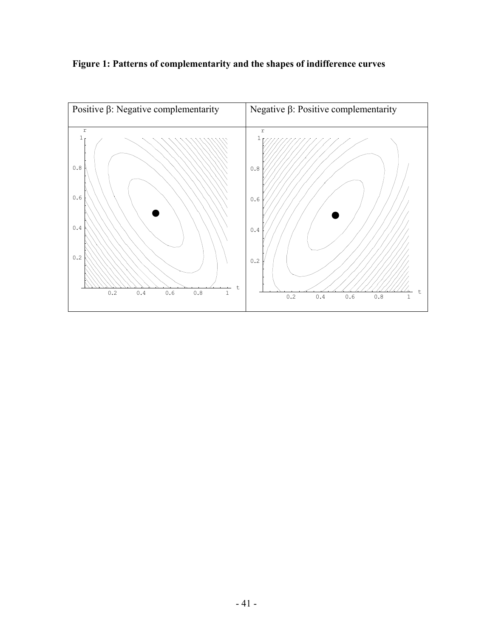

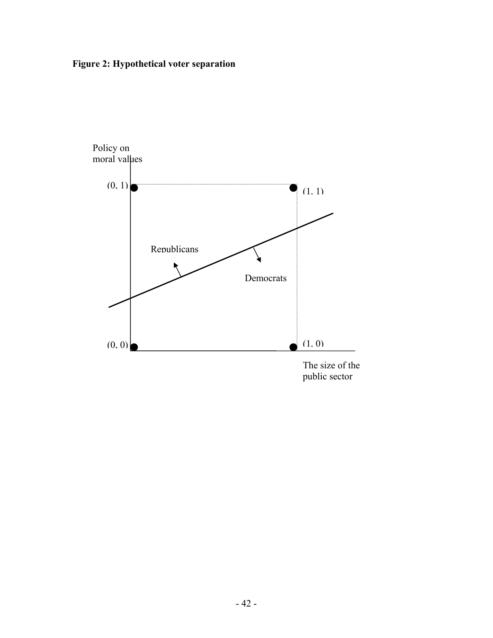**Figure 2: Hypothetical voter separation** 

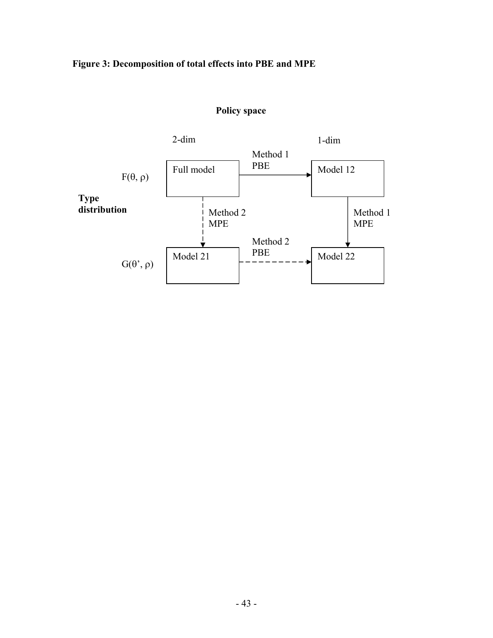### **Figure 3: Decomposition of total effects into PBE and MPE**



#### **Policy space**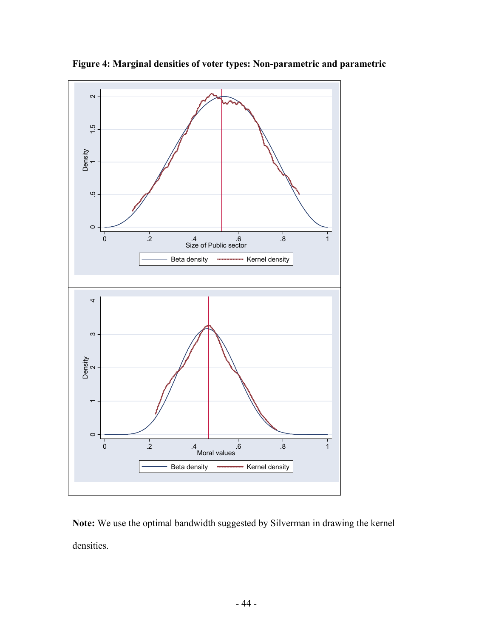

**Figure 4: Marginal densities of voter types: Non-parametric and parametric** 

**Note:** We use the optimal bandwidth suggested by Silverman in drawing the kernel densities.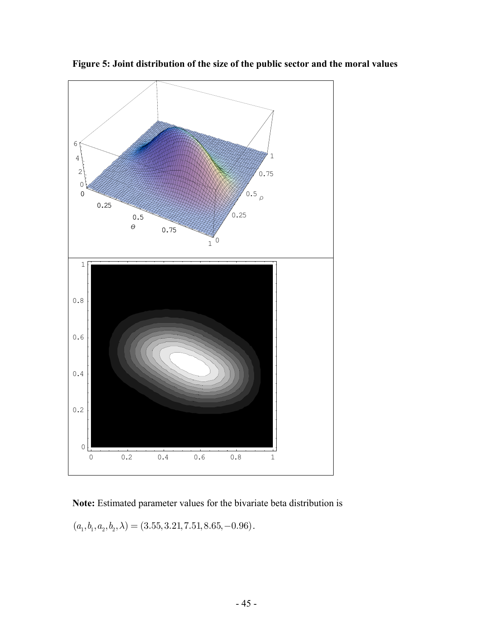

**Figure 5: Joint distribution of the size of the public sector and the moral values** 

### **Note:** Estimated parameter values for the bivariate beta distribution is

 $(a_1, b_1, a_2, b_2, \lambda) = (3.55, 3.21, 7.51, 8.65, -0.96)$ .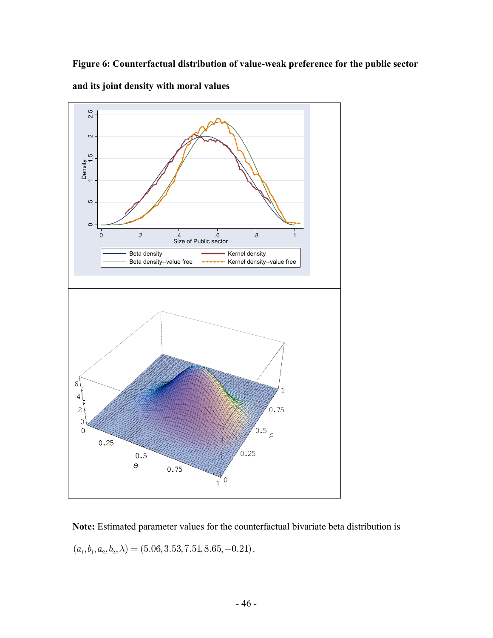**Figure 6: Counterfactual distribution of value-weak preference for the public sector** 



**and its joint density with moral values** 

**Note:** Estimated parameter values for the counterfactual bivariate beta distribution is  $(a_1, b_1, a_2, b_2, \lambda) = (5.06, 3.53, 7.51, 8.65, -0.21).$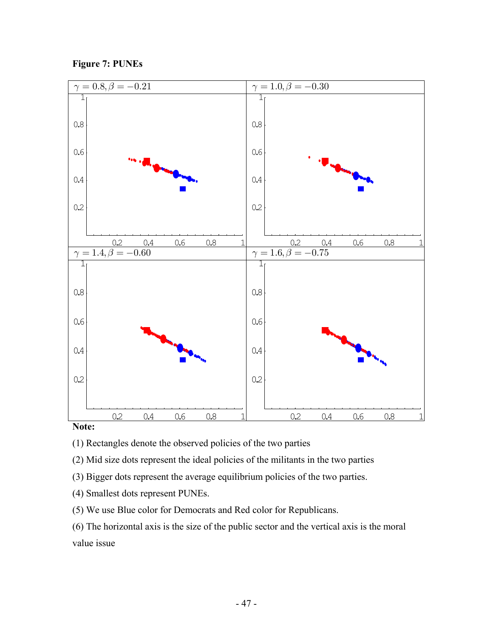



#### **Note:**

- (1) Rectangles denote the observed policies of the two parties
- (2) Mid size dots represent the ideal policies of the militants in the two parties
- (3) Bigger dots represent the average equilibrium policies of the two parties.
- (4) Smallest dots represent PUNEs.
- (5) We use Blue color for Democrats and Red color for Republicans.

(6) The horizontal axis is the size of the public sector and the vertical axis is the moral value issue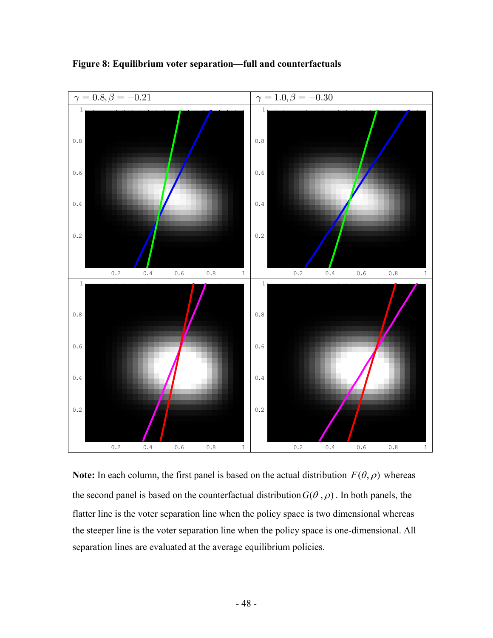

**Figure 8: Equilibrium voter separation—full and counterfactuals** 

**Note:** In each column, the first panel is based on the actual distribution  $F(\theta, \rho)$  whereas the second panel is based on the counterfactual distribution  $G(\vec{\theta}, \rho)$ . In both panels, the flatter line is the voter separation line when the policy space is two dimensional whereas the steeper line is the voter separation line when the policy space is one-dimensional. All separation lines are evaluated at the average equilibrium policies.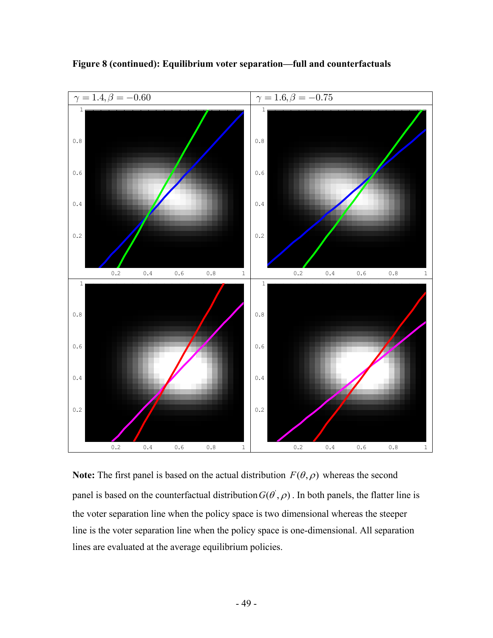

**Figure 8 (continued): Equilibrium voter separation—full and counterfactuals** 

**Note:** The first panel is based on the actual distribution  $F(\theta, \rho)$  whereas the second panel is based on the counterfactual distribution  $G(\theta, \rho)$ . In both panels, the flatter line is the voter separation line when the policy space is two dimensional whereas the steeper line is the voter separation line when the policy space is one-dimensional. All separation lines are evaluated at the average equilibrium policies.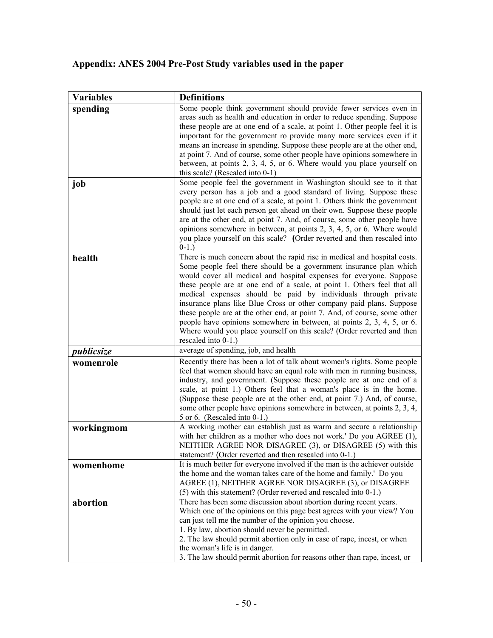## **Appendix: ANES 2004 Pre-Post Study variables used in the paper**

| <b>Variables</b> | <b>Definitions</b>                                                                                                                               |
|------------------|--------------------------------------------------------------------------------------------------------------------------------------------------|
| spending         | Some people think government should provide fewer services even in                                                                               |
|                  | areas such as health and education in order to reduce spending. Suppose                                                                          |
|                  | these people are at one end of a scale, at point 1. Other people feel it is                                                                      |
|                  | important for the government ro provide many more services even if it                                                                            |
|                  | means an increase in spending. Suppose these people are at the other end,                                                                        |
|                  | at point 7. And of course, some other people have opinions somewhere in                                                                          |
|                  | between, at points 2, 3, 4, 5, or 6. Where would you place yourself on                                                                           |
|                  | this scale? (Rescaled into $0-1$ )                                                                                                               |
| job              | Some people feel the government in Washington should see to it that                                                                              |
|                  | every person has a job and a good standard of living. Suppose these<br>people are at one end of a scale, at point 1. Others think the government |
|                  | should just let each person get ahead on their own. Suppose these people                                                                         |
|                  | are at the other end, at point 7. And, of course, some other people have                                                                         |
|                  | opinions somewhere in between, at points $2, 3, 4, 5$ , or 6. Where would                                                                        |
|                  | you place yourself on this scale? (Order reverted and then rescaled into                                                                         |
|                  | $0-1.$ )                                                                                                                                         |
| health           | There is much concern about the rapid rise in medical and hospital costs.                                                                        |
|                  | Some people feel there should be a government insurance plan which                                                                               |
|                  | would cover all medical and hospital expenses for everyone. Suppose                                                                              |
|                  | these people are at one end of a scale, at point 1. Others feel that all                                                                         |
|                  | medical expenses should be paid by individuals through private                                                                                   |
|                  | insurance plans like Blue Cross or other company paid plans. Suppose                                                                             |
|                  | these people are at the other end, at point 7. And, of course, some other                                                                        |
|                  | people have opinions somewhere in between, at points 2, 3, 4, 5, or 6.                                                                           |
|                  | Where would you place yourself on this scale? (Order reverted and then                                                                           |
|                  | rescaled into 0-1.)                                                                                                                              |
| publicsize       | average of spending, job, and health                                                                                                             |
| womenrole        | Recently there has been a lot of talk about women's rights. Some people                                                                          |
|                  | feel that women should have an equal role with men in running business,                                                                          |
|                  | industry, and government. (Suppose these people are at one end of a                                                                              |
|                  | scale, at point 1.) Others feel that a woman's place is in the home.<br>(Suppose these people are at the other end, at point 7.) And, of course, |
|                  | some other people have opinions somewhere in between, at points 2, 3, 4,                                                                         |
|                  | 5 or 6. (Rescaled into $0-1$ .)                                                                                                                  |
| workingmom       | A working mother can establish just as warm and secure a relationship                                                                            |
|                  | with her children as a mother who does not work.' Do you AGREE (1),                                                                              |
|                  | NEITHER AGREE NOR DISAGREE (3), or DISAGREE (5) with this                                                                                        |
|                  | statement? (Order reverted and then rescaled into 0-1.)                                                                                          |
| womenhome        | It is much better for everyone involved if the man is the achiever outside                                                                       |
|                  | the home and the woman takes care of the home and family.' Do you                                                                                |
|                  | AGREE (1), NEITHER AGREE NOR DISAGREE (3), or DISAGREE                                                                                           |
|                  | (5) with this statement? (Order reverted and rescaled into 0-1.)                                                                                 |
| abortion         | There has been some discussion about abortion during recent years.                                                                               |
|                  | Which one of the opinions on this page best agrees with your view? You                                                                           |
|                  | can just tell me the number of the opinion you choose.                                                                                           |
|                  | 1. By law, abortion should never be permitted.                                                                                                   |
|                  | 2. The law should permit abortion only in case of rape, incest, or when                                                                          |
|                  | the woman's life is in danger.                                                                                                                   |
|                  | 3. The law should permit abortion for reasons other than rape, incest, or                                                                        |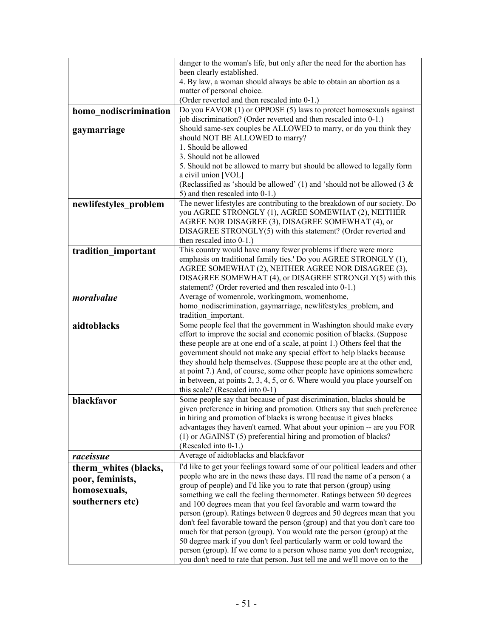|                       | danger to the woman's life, but only after the need for the abortion has                                                                               |
|-----------------------|--------------------------------------------------------------------------------------------------------------------------------------------------------|
|                       | been clearly established.                                                                                                                              |
|                       | 4. By law, a woman should always be able to obtain an abortion as a                                                                                    |
|                       | matter of personal choice.<br>(Order reverted and then rescaled into 0-1.)                                                                             |
|                       | Do you FAVOR (1) or OPPOSE (5) laws to protect homosexuals against                                                                                     |
| homo nodiscrimination | job discrimination? (Order reverted and then rescaled into 0-1.)                                                                                       |
| gaymarriage           | Should same-sex couples be ALLOWED to marry, or do you think they                                                                                      |
|                       | should NOT BE ALLOWED to marry?                                                                                                                        |
|                       | 1. Should be allowed                                                                                                                                   |
|                       | 3. Should not be allowed                                                                                                                               |
|                       | 5. Should not be allowed to marry but should be allowed to legally form                                                                                |
|                       | a civil union [VOL]                                                                                                                                    |
|                       | (Reclassified as 'should be allowed' $(1)$ and 'should not be allowed $(3 \&$                                                                          |
|                       | 5) and then rescaled into 0-1.)                                                                                                                        |
| newlifestyles problem | The newer lifestyles are contributing to the breakdown of our society. Do                                                                              |
|                       | you AGREE STRONGLY (1), AGREE SOMEWHAT (2), NEITHER                                                                                                    |
|                       | AGREE NOR DISAGREE (3), DISAGREE SOMEWHAT (4), or                                                                                                      |
|                       | DISAGREE STRONGLY(5) with this statement? (Order reverted and                                                                                          |
|                       | then rescaled into $0-1$ .)                                                                                                                            |
| tradition important   | This country would have many fewer problems if there were more<br>emphasis on traditional family ties.' Do you AGREE STRONGLY (1),                     |
|                       | AGREE SOMEWHAT (2), NEITHER AGREE NOR DISAGREE (3),                                                                                                    |
|                       | DISAGREE SOMEWHAT (4), or DISAGREE STRONGLY(5) with this                                                                                               |
|                       | statement? (Order reverted and then rescaled into 0-1.)                                                                                                |
| moralvalue            | Average of womenrole, workingmom, womenhome,                                                                                                           |
|                       | homo nodiscrimination, gaymarriage, newlifestyles problem, and                                                                                         |
|                       | tradition important.                                                                                                                                   |
| aidtoblacks           | Some people feel that the government in Washington should make every                                                                                   |
|                       | effort to improve the social and economic position of blacks. (Suppose                                                                                 |
|                       | these people are at one end of a scale, at point 1.) Others feel that the                                                                              |
|                       | government should not make any special effort to help blacks because                                                                                   |
|                       | they should help themselves. (Suppose these people are at the other end,                                                                               |
|                       | at point 7.) And, of course, some other people have opinions somewhere<br>in between, at points $2, 3, 4, 5$ , or 6. Where would you place yourself on |
|                       | this scale? (Rescaled into 0-1)                                                                                                                        |
| blackfavor            | Some people say that because of past discrimination, blacks should be                                                                                  |
|                       | given preference in hiring and promotion. Others say that such preference                                                                              |
|                       | in hiring and promotion of blacks is wrong because it gives blacks                                                                                     |
|                       | advantages they haven't earned. What about your opinion -- are you FOR                                                                                 |
|                       | (1) or AGAINST (5) preferential hiring and promotion of blacks?                                                                                        |
|                       | (Rescaled into 0-1.)                                                                                                                                   |
| raceissue             | Average of aidtoblacks and blackfavor                                                                                                                  |
| therm whites (blacks, | I'd like to get your feelings toward some of our political leaders and other                                                                           |
| poor, feminists,      | people who are in the news these days. I'll read the name of a person (a                                                                               |
| homosexuals,          | group of people) and I'd like you to rate that person (group) using                                                                                    |
| southerners etc)      | something we call the feeling thermometer. Ratings between 50 degrees                                                                                  |
|                       | and 100 degrees mean that you feel favorable and warm toward the                                                                                       |
|                       | person (group). Ratings between 0 degrees and 50 degrees mean that you<br>don't feel favorable toward the person (group) and that you don't care too   |
|                       | much for that person (group). You would rate the person (group) at the                                                                                 |
|                       | 50 degree mark if you don't feel particularly warm or cold toward the                                                                                  |
|                       | person (group). If we come to a person whose name you don't recognize,                                                                                 |
|                       | you don't need to rate that person. Just tell me and we'll move on to the                                                                              |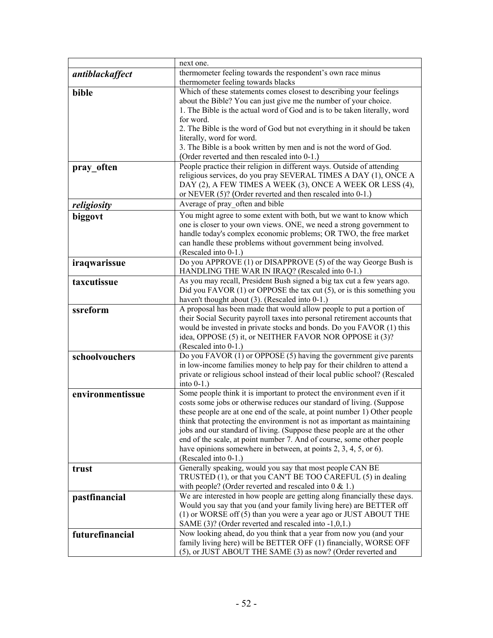|                  | next one.                                                                                                                                        |
|------------------|--------------------------------------------------------------------------------------------------------------------------------------------------|
| antiblackaffect  | thermometer feeling towards the respondent's own race minus                                                                                      |
|                  | thermometer feeling towards blacks                                                                                                               |
| bible            | Which of these statements comes closest to describing your feelings                                                                              |
|                  | about the Bible? You can just give me the number of your choice.                                                                                 |
|                  | 1. The Bible is the actual word of God and is to be taken literally, word                                                                        |
|                  | for word.<br>2. The Bible is the word of God but not everything in it should be taken                                                            |
|                  | literally, word for word.                                                                                                                        |
|                  | 3. The Bible is a book written by men and is not the word of God.                                                                                |
|                  | (Order reverted and then rescaled into 0-1.)                                                                                                     |
| pray often       | People practice their religion in different ways. Outside of attending                                                                           |
|                  | religious services, do you pray SEVERAL TIMES A DAY (1), ONCE A                                                                                  |
|                  | DAY (2), A FEW TIMES A WEEK (3), ONCE A WEEK OR LESS (4),                                                                                        |
|                  | or NEVER (5)? (Order reverted and then rescaled into 0-1.)                                                                                       |
| religiosity      | Average of pray often and bible                                                                                                                  |
| biggovt          | You might agree to some extent with both, but we want to know which                                                                              |
|                  | one is closer to your own views. ONE, we need a strong government to                                                                             |
|                  | handle today's complex economic problems; OR TWO, the free market                                                                                |
|                  | can handle these problems without government being involved.                                                                                     |
|                  | (Rescaled into 0-1.)                                                                                                                             |
| iraqwarissue     | Do you APPROVE (1) or DISAPPROVE (5) of the way George Bush is<br>HANDLING THE WAR IN IRAQ? (Rescaled into 0-1.)                                 |
| taxcutissue      | As you may recall, President Bush signed a big tax cut a few years ago.                                                                          |
|                  | Did you FAVOR $(1)$ or OPPOSE the tax cut $(5)$ , or is this something you                                                                       |
|                  | haven't thought about (3). (Rescaled into 0-1.)                                                                                                  |
| ssreform         | A proposal has been made that would allow people to put a portion of                                                                             |
|                  | their Social Security payroll taxes into personal retirement accounts that                                                                       |
|                  | would be invested in private stocks and bonds. Do you FAVOR (1) this                                                                             |
|                  | idea, OPPOSE (5) it, or NEITHER FAVOR NOR OPPOSE it (3)?                                                                                         |
|                  | (Rescaled into 0-1.)                                                                                                                             |
| schoolvouchers   | Do you FAVOR (1) or OPPOSE (5) having the government give parents                                                                                |
|                  | in low-income families money to help pay for their children to attend a                                                                          |
|                  | private or religious school instead of their local public school? (Rescaled                                                                      |
|                  | into $0-1$ .)<br>Some people think it is important to protect the environment even if it                                                         |
| environmentissue | costs some jobs or otherwise reduces our standard of living. (Suppose                                                                            |
|                  | these people are at one end of the scale, at point number 1) Other people                                                                        |
|                  | think that protecting the environment is not as important as maintaining                                                                         |
|                  | jobs and our standard of living. (Suppose these people are at the other                                                                          |
|                  | end of the scale, at point number 7. And of course, some other people                                                                            |
|                  | have opinions somewhere in between, at points $2, 3, 4, 5$ , or 6).                                                                              |
|                  | (Rescaled into 0-1.)                                                                                                                             |
| trust            | Generally speaking, would you say that most people CAN BE                                                                                        |
|                  | TRUSTED (1), or that you CAN'T BE TOO CAREFUL (5) in dealing                                                                                     |
|                  | with people? (Order reverted and rescaled into $0 < 1$ .)                                                                                        |
| pastfinancial    | We are interested in how people are getting along financially these days.<br>Would you say that you (and your family living here) are BETTER off |
|                  | (1) or WORSE off (5) than you were a year ago or JUST ABOUT THE                                                                                  |
|                  | SAME (3)? (Order reverted and rescaled into -1,0,1.)                                                                                             |
| futurefinancial  | Now looking ahead, do you think that a year from now you (and your                                                                               |
|                  | family living here) will be BETTER OFF (1) financially, WORSE OFF                                                                                |
|                  | (5), or JUST ABOUT THE SAME (3) as now? (Order reverted and                                                                                      |